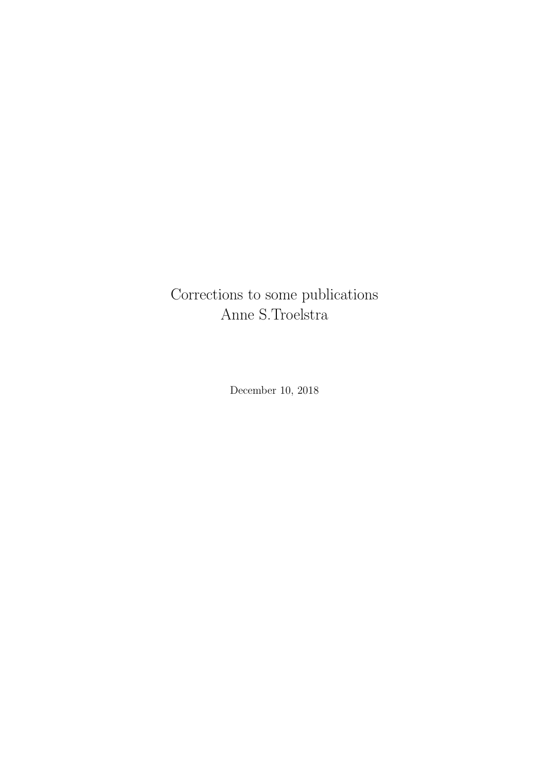# Corrections to some publications Anne S.Troelstra

December 10, 2018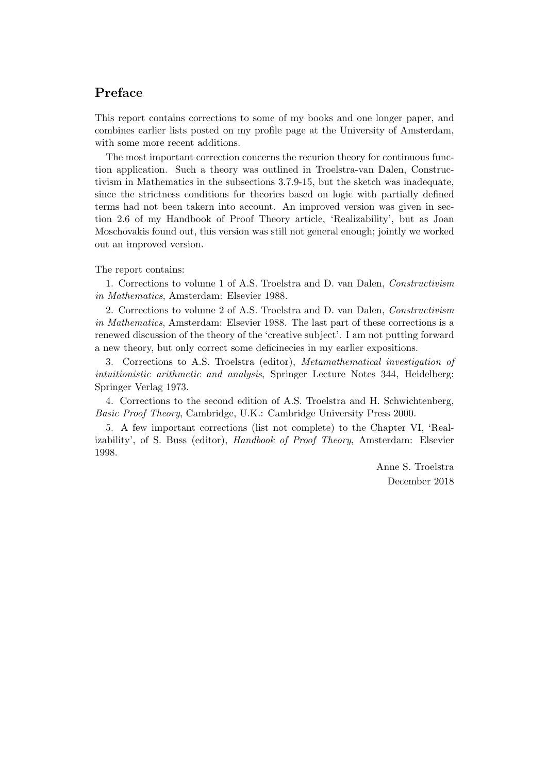## Preface

This report contains corrections to some of my books and one longer paper, and combines earlier lists posted on my profile page at the University of Amsterdam, with some more recent additions.

The most important correction concerns the recurion theory for continuous function application. Such a theory was outlined in Troelstra-van Dalen, Constructivism in Mathematics in the subsections 3.7.9-15, but the sketch was inadequate, since the strictness conditions for theories based on logic with partially defined terms had not been takern into account. An improved version was given in section 2.6 of my Handbook of Proof Theory article, 'Realizability', but as Joan Moschovakis found out, this version was still not general enough; jointly we worked out an improved version.

#### The report contains:

1. Corrections to volume 1 of A.S. Troelstra and D. van Dalen, Constructivism in Mathematics, Amsterdam: Elsevier 1988.

2. Corrections to volume 2 of A.S. Troelstra and D. van Dalen, Constructivism in Mathematics, Amsterdam: Elsevier 1988. The last part of these corrections is a renewed discussion of the theory of the 'creative subject'. I am not putting forward a new theory, but only correct some deficinecies in my earlier expositions.

3. Corrections to A.S. Troelstra (editor), Metamathematical investigation of intuitionistic arithmetic and analysis, Springer Lecture Notes 344, Heidelberg: Springer Verlag 1973.

4. Corrections to the second edition of A.S. Troelstra and H. Schwichtenberg, Basic Proof Theory, Cambridge, U.K.: Cambridge University Press 2000.

5. A few important corrections (list not complete) to the Chapter VI, 'Realizability', of S. Buss (editor), *Handbook of Proof Theory*, Amsterdam: Elsevier 1998.

> Anne S. Troelstra December 2018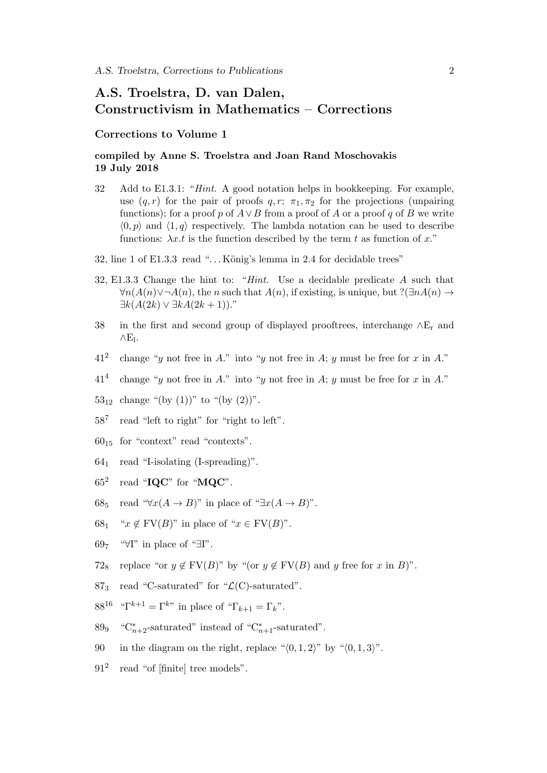# A.S. Troelstra, D. van Dalen, Constructivism in Mathematics – Corrections

#### Corrections to Volume 1

### compiled by Anne S. Troelstra and Joan Rand Moschovakis 19 July 2018

- 32 Add to E1.3.1: "Hint. A good notation helps in bookkeeping. For example, use  $(q, r)$  for the pair of proofs  $q, r; \pi_1, \pi_2$  for the projections (unpairing functions); for a proof p of  $A \vee B$  from a proof of A or a proof q of B we write  $\langle 0, p \rangle$  and  $\langle 1, q \rangle$  respectively. The lambda notation can be used to describe functions:  $\lambda x.t$  is the function described by the term t as function of x."
- 32, line 1 of E1.3.3 read " $\dots$ König's lemma in 2.4 for decidable trees"
- 32, E1.3.3 Change the hint to: "Hint. Use a decidable predicate A such that  $\forall n(A(n) \vee \neg A(n))$ , the n such that  $A(n)$ , if existing, is unique, but ?( $\exists nA(n)$  →  $\exists k(A(2k)\vee \exists kA(2k+1))$ ."
- 38 in the first and second group of displayed prooftrees, interchange  $\wedge E_r$  and  $\wedge E_l$ .
- 41<sup>2</sup> change "y not free in A." into "y not free in A; y must be free for x in A."
- $41<sup>4</sup>$ change "y not free in A." into "y not free in A; y must be free for x in A."
- 53<sub>12</sub> change "(by (1))" to "(by (2))".
- 58<sup>7</sup> read "left to right" for "right to left".
- $60_{15}$  for "context" read "contexts".
- $64<sub>1</sub>$  read "I-isolating (I-spreading)".
- $65^{2}$ read "IQC" for "MQC".
- 68<sub>5</sub> read " $\forall x(A \rightarrow B)$ " in place of " $\exists x(A \rightarrow B)$ ".
- 68<sub>1</sub> " $x \notin FV(B)$ " in place of " $x \in FV(B)$ ".
- 697 " $\forall I$ " in place of "∃I".
- 72<sub>8</sub> replace "or  $y \notin FV(B)$ " by "(or  $y \notin FV(B)$  and y free for x in B)".
- 87<sub>3</sub> read "C-saturated" for " $\mathcal{L}(C)$ -saturated".
- $88^{16}$  "Γ<sup>k+1</sup> = Γ<sup>k</sup>" in place of "Γ<sub>k+1</sub> = Γ<sub>k</sub>".
- 89<sub>9</sub> "C<sub>n+2</sub>-saturated" instead of "C<sub>n+1</sub>-saturated".
- 90 in the diagram on the right, replace " $\langle 0, 1, 2 \rangle$ " by " $\langle 0, 1, 3 \rangle$ ".
- $91^2$ read "of [finite] tree models".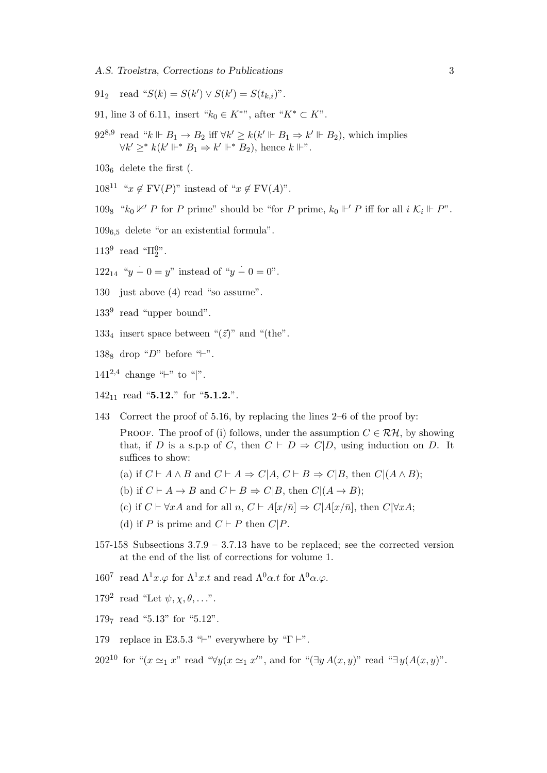- 91<sub>2</sub> read " $S(k) = S(k') \vee S(k') = S(t_{k,i})$ ".
- 91, line 3 of 6.11, insert " $k_0 \in K^{**}$ ", after " $K^* \subset K$ ".
- 92<sup>8,9</sup> read " $k \Vdash B_1 \to B_2$  iff  $\forall k' \geq k(k' \Vdash B_1 \Rightarrow k' \Vdash B_2)$ , which implies  $\forall k' \geq^* k(k' \Vdash^* B_1 \Rightarrow k' \Vdash^* B_2)$ , hence  $k \Vdash^"$ .
- $103<sub>6</sub>$  delete the first (.
- 108<sup>11</sup> " $x \notin FV(P)$ " instead of " $x \notin FV(A)$ ".
- 109<sub>8</sub> " $k_0$   $\nvdash' P$  for P prime" should be "for P prime,  $k_0 \Vdash' P$  iff for all  $i \mathcal{K}_i \Vdash P$ ".
- $109_{6.5}$  delete "or an existential formula".
- $113^9$  read " $\Pi_2^{0}$ ".
- 122<sub>14</sub> " $y 0 = y$ " instead of " $y 0 = 0$ ".
- 130 just above (4) read "so assume".
- $133<sup>9</sup>$  read "upper bound".
- 133<sub>4</sub> insert space between " $(\vec{z})$ " and "(the".
- 138<sub>8</sub> drop "D" before " $\vdash$ ".
- 141<sup>2,4</sup> change " $\vdash$ " to "|".
- 142<sub>11</sub> read "5.12." for "5.1.2.".
- 143 Correct the proof of 5.16, by replacing the lines 2–6 of the proof by:

PROOF. The proof of (i) follows, under the assumption  $C \in \mathcal{RH}$ , by showing that, if D is a s.p.p of C, then  $C \vdash D \Rightarrow C|D$ , using induction on D. It suffices to show:

- (a) if  $C \vdash A \wedge B$  and  $C \vdash A \Rightarrow C | A, C \vdash B \Rightarrow C | B$ , then  $C | (A \wedge B);$
- (b) if  $C \vdash A \to B$  and  $C \vdash B \Rightarrow C|B$ , then  $C|(A \to B)$ ;
- (c) if  $C \vdash \forall xA$  and for all  $n, C \vdash A[x/\bar{n}] \Rightarrow C|A[x/\bar{n}]$ , then  $C|\forall xA$ ;
- (d) if P is prime and  $C \vdash P$  then  $C|P$ .
- 157-158 Subsections 3.7.9 3.7.13 have to be replaced; see the corrected version at the end of the list of corrections for volume 1.
- 160<sup>7</sup> read  $Λ$ <sup>1</sup>x. $\varphi$  for  $Λ$ <sup>1</sup>x.t and read  $Λ$ <sup>0</sup> $\alpha$ .t for  $Λ$ <sup>0</sup> $\alpha$ . $\varphi$ .
- 179<sup>2</sup> read "Let  $\psi, \chi, \theta, \ldots$ ".
- $179<sub>7</sub>$  read "5.13" for "5.12".
- 179 replace in E3.5.3 "<sup>+</sup>" everywhere by "Γ <sup>+"</sup>.

202<sup>10</sup> for " $(x \simeq_1 x$ " read "∀y( $x \simeq_1 x''$ , and for " $(\exists y A(x, y)$ " read " $\exists y(A(x, y)$ ".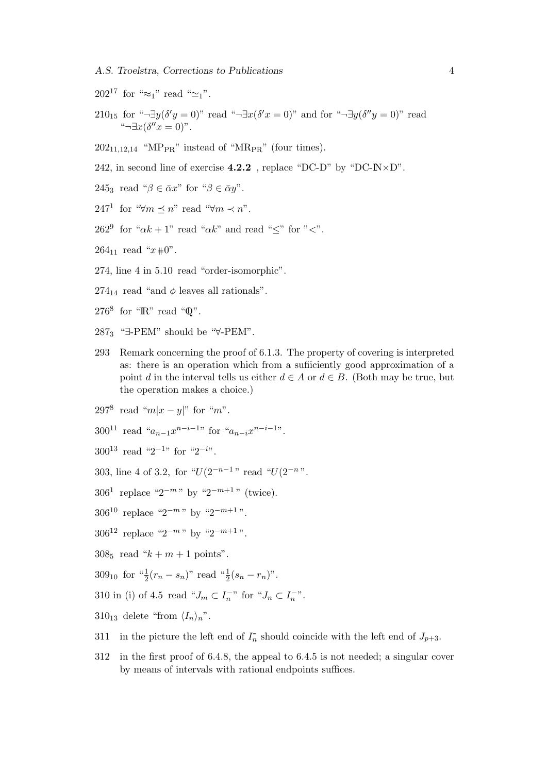- $202^{17}$  for " $\approx_1$ " read " $\approx_1$ ".
- 210<sub>15</sub> for " $\neg \exists y (\delta' y = 0)$ " read " $\neg \exists x (\delta' x = 0)$ " and for " $\neg \exists y (\delta'' y = 0)$ " read " $\neg \exists x (\delta'' x = 0)$ ".
- $202_{11,12,14}$  "MP<sub>PR</sub>" instead of "MR<sub>PR</sub>" (four times).
- 242, in second line of exercise  $4.2.2$ , replace "DC-D" by "DC- $N\times D$ ".
- 245<sub>3</sub> read " $\beta \in \bar{\alpha}x$ " for " $\beta \in \bar{\alpha}y$ ".
- 247<sup>1</sup> for " $\forall m \preceq n$ " read " $\forall m \prec n$ ".
- 262<sup>9</sup> for " $\alpha k + 1$ " read " $\alpha k$ " and read " $\leq$ " for " $\lt$ ".
- 264<sub>11</sub> read " $x \# 0$ ".
- 274, line 4 in 5.10 read "order-isomorphic".
- 274<sub>14</sub> read "and  $\phi$  leaves all rationals".
- $276^8$  for "IR" read "Q".
- 287<sub>3</sub> "∃-PEM" should be " $\forall$ -PEM".
- 293 Remark concerning the proof of 6.1.3. The property of covering is interpreted as: there is an operation which from a sufiiciently good approximation of a point d in the interval tells us either  $d \in A$  or  $d \in B$ . (Both may be true, but the operation makes a choice.)
- 297<sup>8</sup> read " $m|x-y|$ " for " $m$ ".
- 300<sup>11</sup> read " $a_{n-1}x^{n-i-1}$ " for " $a_{n-i}x^{n-i-1}$ ".
- $300^{13}$  read "2<sup>-1"</sup> for "2<sup>-i"</sup>.
- 303, line 4 of 3.2, for " $U(2^{-n-1}$ " read " $U(2^{-n}$ ".
- 306<sup>1</sup> replace "2<sup>-m</sup>" by "2<sup>-m+1</sup>" (twice).
- $306^{10}$  replace "2<sup>-m</sup>" by "2<sup>-m+1</sup>".
- $306^{12}$  replace "2<sup>-m</sup>" by "2<sup>-m+1</sup>".
- 308<sub>5</sub> read " $k + m + 1$  points".
- 309<sub>10</sub> for  $\frac{1}{2}(r_n s_n)$ " read  $\frac{1}{2}(s_n r_n)$ ".
- 310 in (i) of 4.5 read " $J_m \subset I_n^{-}$ " for " $J_n \subset I_n^{-}$ ".
- $310_{13}$  delete "from  $\langle I_n \rangle_n$ ".
- 311 in the picture the left end of  $I_n^{\dagger}$  should coincide with the left end of  $J_{p+3}$ .
- 312 in the first proof of 6.4.8, the appeal to 6.4.5 is not needed; a singular cover by means of intervals with rational endpoints suffices.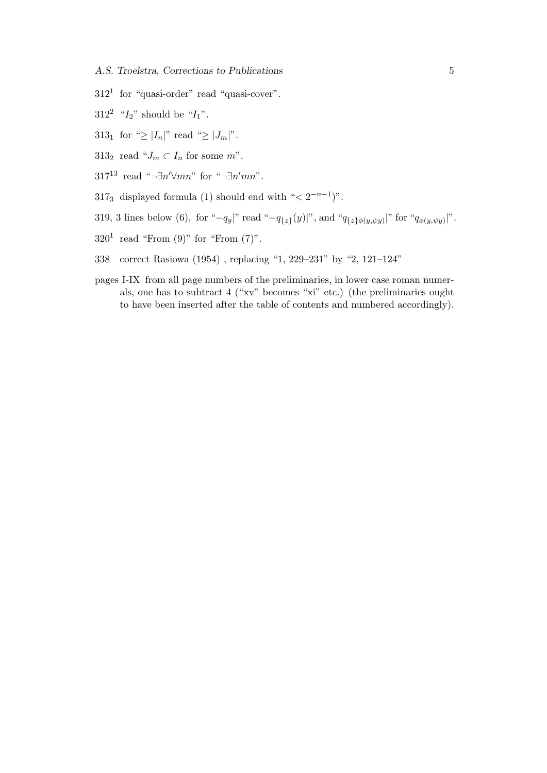- $312<sup>1</sup>$  for "quasi-order" read "quasi-cover".
- 312<sup>2</sup> " $I_2$ " should be " $I_1$ ".
- 313<sub>1</sub> for " $\geq |I_n|$ " read " $\geq |J_m|$ ".
- 313<sub>2</sub> read " $J_m \subset I_n$  for some m".
- 317<sup>13</sup> read " $\neg \exists n' \forall mn$ " for " $\neg \exists n'mn$ ".
- 317<sub>3</sub> displayed formula (1) should end with " $\lt 2^{-n-1}$ ".
- 319, 3 lines below (6), for " $-q_y$ " read " $-q_{\{z\}}(y)$ ", and " $q_{\{z\}\phi(y,\psi y)}$ " for " $q_{\phi(y,\psi y)}$ ".
- $320<sup>1</sup>$  read "From  $(9)$ " for "From  $(7)$ ".
- 338 correct Rasiowa (1954) , replacing "1, 229–231" by "2, 121–124"
- pages I-IX from all page numbers of the preliminaries, in lower case roman numerals, one has to subtract 4 ("xv" becomes "xi" etc.) (the preliminaries ought to have been inserted after the table of contents and numbered accordingly).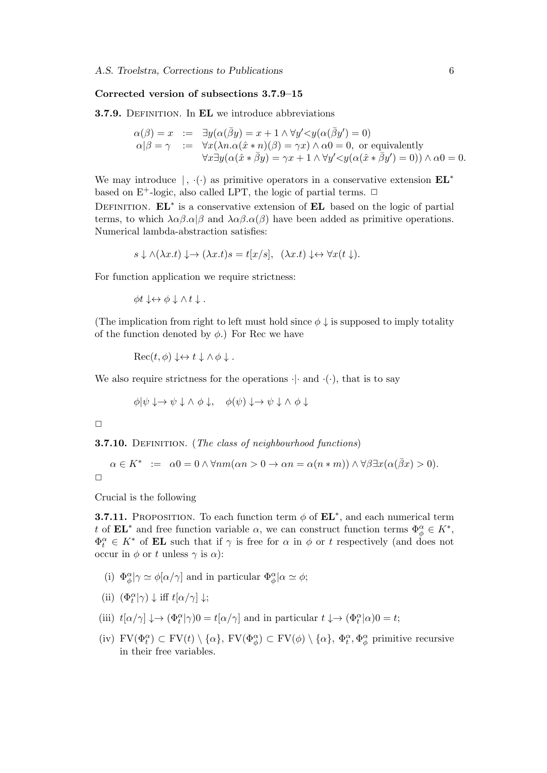#### Corrected version of subsections 3.7.9–15

**3.7.9.** DEFINITION. In **EL** we introduce abbreviations

$$
\alpha(\beta) = x := \exists y (\alpha(\bar{\beta}y) = x + 1 \land \forall y' < y (\alpha(\bar{\beta}y') = 0)
$$
  
\n
$$
\alpha|\beta = \gamma := \forall x (\lambda n. \alpha(\hat{x} * n)(\beta) = \gamma x) \land \alpha 0 = 0, \text{ or equivalently}
$$
  
\n
$$
\forall x \exists y (\alpha(\hat{x} * \bar{\beta}y) = \gamma x + 1 \land \forall y' < y (\alpha(\hat{x} * \bar{\beta}y') = 0)) \land \alpha 0 = 0.
$$

We may introduce  $|, \cdot \rangle$  as primitive operators in a conservative extension  $\mathbf{EL}^*$ based on  $E^+$ -logic, also called LPT, the logic of partial terms.  $\Box$ DEFINITION. EL<sup>\*</sup> is a conservative extension of EL based on the logic of partial terms, to which  $\lambda \alpha \beta \alpha/\beta$  and  $\lambda \alpha \beta \alpha/\beta$  have been added as primitive operations. Numerical lambda-abstraction satisfies:

$$
s \downarrow \wedge (\lambda x.t) \downarrow \rightarrow (\lambda x.t) s = t[x/s], \ (\lambda x.t) \downarrow \leftrightarrow \forall x (t \downarrow).
$$

For function application we require strictness:

 $\phi t \downarrow \leftrightarrow \phi \downarrow \wedge t \downarrow$ .

(The implication from right to left must hold since  $\phi \downarrow$  is supposed to imply totality of the function denoted by  $\phi$ .) For Rec we have

 $\text{Rec}(t, \phi) \downarrow \leftrightarrow t \downarrow \land \phi \downarrow$ .

We also require strictness for the operations  $\cdot$   $\cdot$  and  $\cdot$   $\cdot$ , that is to say

$$
\phi|\psi \downarrow \to \psi \downarrow \wedge \phi \downarrow, \quad \phi(\psi) \downarrow \to \psi \downarrow \wedge \phi \downarrow
$$

 $\Box$ 

**3.7.10.** DEFINITION. (The class of neighbourhood functions)

$$
\alpha \in K^* \ := \ \alpha 0 = 0 \land \forall nm(\alpha n > 0 \to \alpha n = \alpha(n * m)) \land \forall \beta \exists x (\alpha(\bar{\beta}x) > 0).
$$

 $\Box$ 

Crucial is the following

**3.7.11.** PROPOSITION. To each function term  $\phi$  of  $\mathbf{EL}^*$ , and each numerical term t of  $\mathbf{EL}^*$  and free function variable  $\alpha$ , we can construct function terms  $\Phi_{\phi}^{\alpha} \in K^*$ ,  $\Phi_t^{\alpha} \in K^*$  of **EL** such that if  $\gamma$  is free for  $\alpha$  in  $\phi$  or t respectively (and does not occur in  $\phi$  or t unless  $\gamma$  is  $\alpha$ ):

- (i)  $\Phi_{\phi}^{\alpha}|\gamma \simeq \phi[\alpha/\gamma]$  and in particular  $\Phi_{\phi}^{\alpha}|\alpha \simeq \phi;$
- (ii)  $(\Phi_t^{\alpha}|\gamma) \downarrow \text{iff } t[\alpha/\gamma] \downarrow;$
- (iii)  $t[\alpha/\gamma] \downarrow \rightarrow (\Phi_t^{\alpha}|\gamma)0 = t[\alpha/\gamma]$  and in particular  $t \downarrow \rightarrow (\Phi_t^{\alpha}|\alpha)0 = t$ ;
- (iv)  $FV(\Phi_t^{\alpha}) \subset FV(t) \setminus {\alpha}$ ,  $FV(\Phi_{\phi}^{\alpha}) \subset FV(\phi) \setminus {\alpha}$ ,  $\Phi_t^{\alpha}, \Phi_{\phi}^{\alpha}$  primitive recursive in their free variables.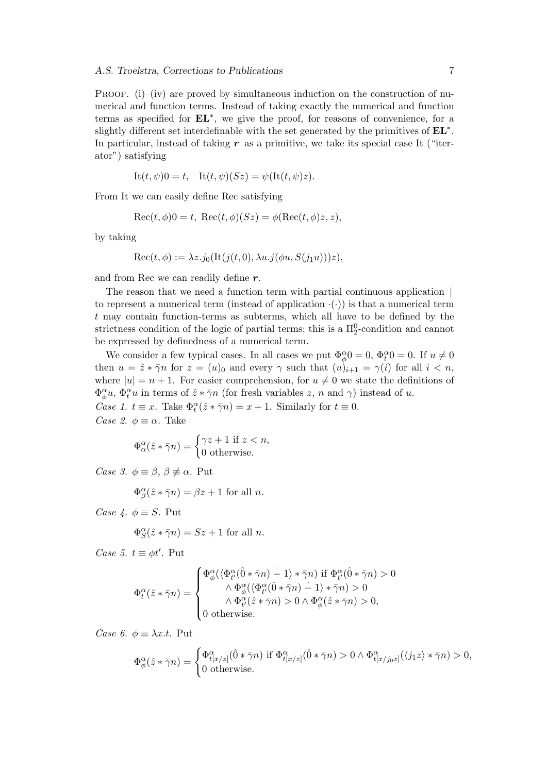PROOF.  $(i)$ –(iv) are proved by simultaneous induction on the construction of numerical and function terms. Instead of taking exactly the numerical and function terms as specified for EL<sup>∗</sup> , we give the proof, for reasons of convenience, for a slightly different set interdefinable with the set generated by the primitives of  $EL^*$ . In particular, instead of taking  $r$  as a primitive, we take its special case It ("iterator") satisfying

$$
It(t, \psi)0 = t, \quad It(t, \psi)(Sz) = \psi(It(t, \psi)z).
$$

From It we can easily define Rec satisfying

$$
Rec(t, \phi)0 = t, Rec(t, \phi)(Sz) = \phi(Rec(t, \phi)z, z),
$$

by taking

$$
Rec(t, \phi) := \lambda z . j_0(It(j(t, 0), \lambda u. j(\phi u, S(j_1 u)))z),
$$

and from Rec we can readily define r.

The reason that we need a function term with partial continuous application | to represent a numerical term (instead of application  $\cdot(\cdot)$ ) is that a numerical term t may contain function-terms as subterms, which all have to be defined by the strictness condition of the logic of partial terms; this is a  $\Pi_2^0$ -condition and cannot be expressed by definedness of a numerical term.

We consider a few typical cases. In all cases we put  $\Phi_{\phi}^{\alpha}0 = 0$ ,  $\Phi_t^{\alpha}0 = 0$ . If  $u \neq 0$ then  $u = \hat{z} * \bar{\gamma}n$  for  $z = (u)_0$  and every  $\gamma$  such that  $(u)_{i+1} = \gamma(i)$  for all  $i < n$ , where  $|u| = n + 1$ . For easier comprehension, for  $u \neq 0$  we state the definitions of  $\Phi_{\phi}^{\alpha}u$ ,  $\Phi_t^{\alpha}u$  in terms of  $\hat{z} * \bar{\gamma}n$  (for fresh variables z, n and  $\gamma$ ) instead of u. *Case 1.*  $t \equiv x$ . Take  $\Phi_t^{\alpha}(\hat{z} * \overline{\gamma}n) = x + 1$ . Similarly for  $t \equiv 0$ .

Case 2.  $\phi \equiv \alpha$ . Take

$$
\Phi_{\alpha}^{\alpha}(\hat{z} * \bar{\gamma}n) = \begin{cases} \gamma z + 1 \text{ if } z < n, \\ 0 \text{ otherwise.} \end{cases}
$$

*Case 3.*  $\phi \equiv \beta, \beta \not\equiv \alpha$ . Put

$$
\Phi_{\beta}^{\alpha}(\hat{z} * \bar{\gamma}n) = \beta z + 1 \text{ for all } n.
$$

Case 4.  $\phi \equiv S$ . Put

$$
\Phi_S^{\alpha}(\hat{z} * \bar{\gamma}n) = Sz + 1 \text{ for all } n.
$$

*Case 5.*  $t \equiv \phi t'$ . Put

$$
\Phi_t^{\alpha}(\hat{z} * \bar{\gamma}n) = \begin{cases} \Phi_{\phi}^{\alpha}(\langle \Phi_{t'}^{\alpha}(\hat{0} * \bar{\gamma}n) - 1 \rangle * \bar{\gamma}n) & \text{if } \Phi_{t'}^{\alpha}(\hat{0} * \bar{\gamma}n) > 0 \\ \wedge \Phi_{\phi}^{\alpha}(\langle \Phi_{t'}^{\alpha}(\hat{0} * \bar{\gamma}n) - 1 \rangle * \bar{\gamma}n) > 0 \\ \wedge \Phi_{t'}^{\alpha}(\hat{z} * \bar{\gamma}n) & > 0 \wedge \Phi_{\phi}^{\alpha}(\hat{z} * \bar{\gamma}n) > 0, \\ 0 & \text{otherwise.} \end{cases}
$$

Case 6.  $\phi \equiv \lambda x.t.$  Put

$$
\Phi^\alpha_\phi(\hat{z} * \bar{\gamma} n) = \begin{cases} \Phi^\alpha_{t[x/z]}(\hat{0} * \bar{\gamma} n) & \text{if } \Phi^\alpha_{t[x/z]}(\hat{0} * \bar{\gamma} n) > 0 \wedge \Phi^\alpha_{t[x/j_0 z]}(\langle j_1 z \rangle * \bar{\gamma} n) > 0, \\ 0 & \text{otherwise.} \end{cases}
$$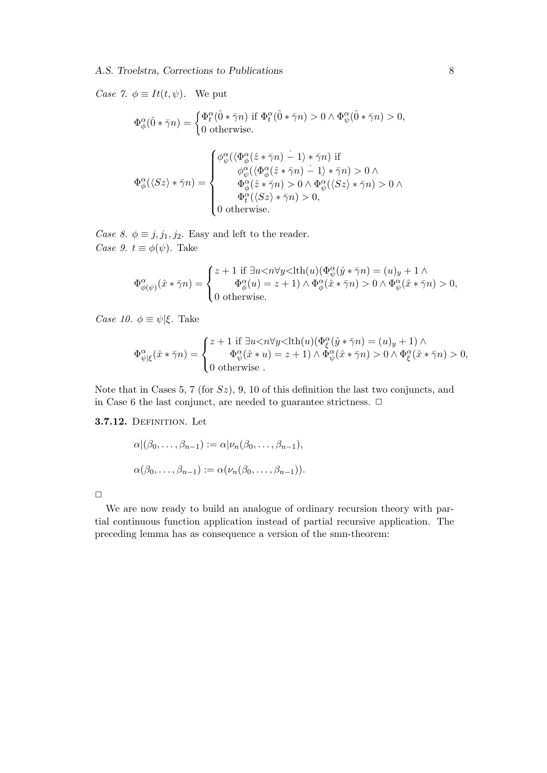Case 7.  $\phi \equiv It(t, \psi)$ . We put

$$
\Phi^{\alpha}_{\phi}(\hat{0} * \bar{\gamma}n) = \begin{cases} \Phi^{\alpha}_{t}(\hat{0} * \bar{\gamma}n) & \text{if } \Phi^{\alpha}_{t}(\hat{0} * \bar{\gamma}n) > 0 \land \Phi^{\alpha}_{\psi}(\hat{0} * \bar{\gamma}n) > 0, \\ 0 & \text{otherwise.} \end{cases}
$$

$$
\Phi_\phi^\alpha(\langle Sz \rangle * \bar{\gamma}n) = \begin{cases} \phi_\psi^\alpha(\langle \Phi_\phi^\alpha(\hat{z} * \bar{\gamma}n) - 1 \rangle * \bar{\gamma}n) & \text{if} \\ \phi_\psi^\alpha(\langle \Phi_\phi^\alpha(\hat{z} * \bar{\gamma}n) - 1 \rangle * \bar{\gamma}n) > 0 \land \\ \Phi_\psi^\alpha(\hat{z} * \bar{\gamma}n) > 0 \land \Phi_\psi^\alpha(\langle Sz \rangle * \bar{\gamma}n) > 0 \land \\ \Phi_t^\alpha(\langle Sz \rangle * \bar{\gamma}n) > 0, \\ 0 & \text{otherwise.} \end{cases}
$$

Case 8.  $\phi \equiv j, j_1, j_2$ . Easy and left to the reader. Case 9.  $t \equiv \phi(\psi)$ . Take

$$
\Phi_{\phi(\psi)}^{\alpha}(\hat{x} * \bar{\gamma}n) = \begin{cases} z + 1 \text{ if } \exists u < n \forall y < \text{lth}(u) (\Phi_{\psi}^{\alpha}(\hat{y} * \bar{\gamma}n) = (u)_y + 1 \land \\ \Phi_{\phi}^{\alpha}(u) = z + 1) \land \Phi_{\phi}^{\alpha}(\hat{x} * \bar{\gamma}n) > 0 \land \Phi_{\psi}^{\alpha}(\hat{x} * \bar{\gamma}n) > 0, \\ 0 \text{ otherwise.} \end{cases}
$$

Case 10.  $\phi \equiv \psi | \xi$ . Take

$$
\Phi_{\psi|\xi}^{\alpha}(\hat{x} * \bar{\gamma}n) = \begin{cases} z + 1 \text{ if } \exists u < n \forall y < \text{lth}(u) (\Phi_{\xi}^{\alpha}(\hat{y} * \bar{\gamma}n) = (u)_y + 1) \land \\ \Phi_{\psi}^{\alpha}(\hat{x} * u) = z + 1) \land \Phi_{\psi}^{\alpha}(\hat{x} * \bar{\gamma}n) > 0 \land \Phi_{\xi}^{\alpha}(\hat{x} * \bar{\gamma}n) > 0, \\ 0 \text{ otherwise.} \end{cases}
$$

Note that in Cases 5, 7 (for  $Sz$ ), 9, 10 of this definition the last two conjuncts, and in Case 6 the last conjunct, are needed to guarantee strictness.  $\Box$ 

### 3.7.12. DEFINITION. Let

$$
\alpha | (\beta_0, \dots, \beta_{n-1}) := \alpha | \nu_n(\beta_0, \dots, \beta_{n-1}),
$$
  

$$
\alpha(\beta_0, \dots, \beta_{n-1}) := \alpha(\nu_n(\beta_0, \dots, \beta_{n-1})).
$$

 $\Box$ 

We are now ready to build an analogue of ordinary recursion theory with partial continuous function application instead of partial recursive application. The preceding lemma has as consequence a version of the smn-theorem: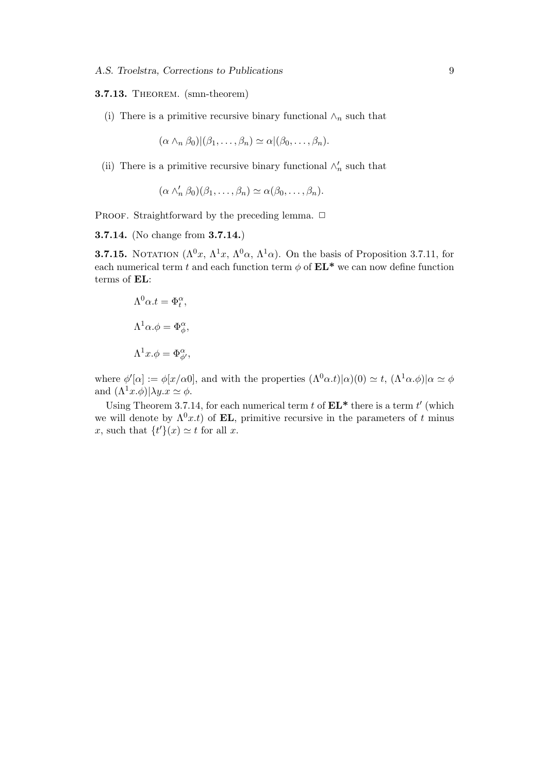#### 3.7.13. Theorem. (smn-theorem)

(i) There is a primitive recursive binary functional  $\wedge_n$  such that

$$
(\alpha \wedge_n \beta_0)|(\beta_1,\ldots,\beta_n) \simeq \alpha|(\beta_0,\ldots,\beta_n).
$$

(ii) There is a primitive recursive binary functional  $\wedge'_n$  such that

$$
(\alpha \wedge'_n \beta_0)(\beta_1, \ldots, \beta_n) \simeq \alpha(\beta_0, \ldots, \beta_n).
$$

PROOF. Straightforward by the preceding lemma.  $\Box$ 

3.7.14. (No change from 3.7.14.)

**3.7.15.** NOTATION  $(\Lambda^0 x, \Lambda^1 x, \Lambda^0 \alpha, \Lambda^1 \alpha)$ . On the basis of Proposition 3.7.11, for each numerical term t and each function term  $\phi$  of  $EL^*$  we can now define function terms of EL:

$$
\Lambda^0 \alpha.t = \Phi_t^{\alpha},
$$
  

$$
\Lambda^1 \alpha.\phi = \Phi_{\phi}^{\alpha},
$$
  

$$
\Lambda^1 x.\phi = \Phi_{\phi}^{\alpha},
$$

where  $\phi'[\alpha] := \phi[x/\alpha 0]$ , and with the properties  $(\Lambda^0 \alpha.t)|\alpha)(0) \simeq t$ ,  $(\Lambda^1 \alpha.\phi)|\alpha \simeq \phi$ and  $(\Lambda^1 x.\phi)|\lambda y.x \simeq \phi$ .

Using Theorem 3.7.14, for each numerical term t of  $EL^*$  there is a term t' (which we will denote by  $\Lambda^{0}x.t$ ) of **EL**, primitive recursive in the parameters of t minus x, such that  $\{t'\}(x) \simeq t$  for all x.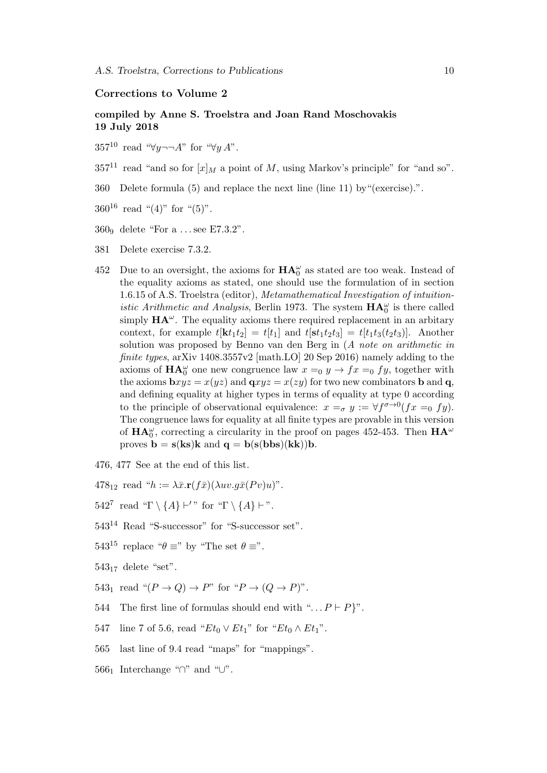#### Corrections to Volume 2

### compiled by Anne S. Troelstra and Joan Rand Moschovakis 19 July 2018

- 357<sup>10</sup> read " $\forall y \neg \neg A$ " for " $\forall y A$ ".
- 357<sup>11</sup> read "and so for  $[x]_M$  a point of M, using Markov's principle" for "and so".
- 360 Delete formula (5) and replace the next line (line 11) by"(exercise).".
- $360^{16}$  read "(4)" for "(5)".
- 360<sup>9</sup> delete "For a . . . see E7.3.2".
- 381 Delete exercise 7.3.2.
- 452 Due to an oversight, the axioms for  $HA_0^{\omega}$  as stated are too weak. Instead of the equality axioms as stated, one should use the formulation of in section 1.6.15 of A.S. Troelstra (editor), Metamathematical Investigation of intuition*istic Arithmetic and Analysis*, Berlin 1973. The system  $HA_0^{\omega}$  is there called simply  $H A^{\omega}$ . The equality axioms there required replacement in an arbitary context, for example  $t[kt_1t_2] = t[t_1]$  and  $t[**st**_1t_2t_3] = t[t_1t_3(t_2t_3)]$ . Another solution was proposed by Benno van den Berg in (A note on arithmetic in finite types, arXiv 1408.3557v2 [math.LO] 20 Sep 2016) namely adding to the axioms of  $\mathbf{HA}_0^{\omega}$  one new congruence law  $x =_0 y \to fx =_0 fy$ , together with the axioms  $bxyz = x(yz)$  and  $qxyz = x(zy)$  for two new combinators b and q, and defining equality at higher types in terms of equality at type 0 according to the principle of observational equivalence:  $x =_{\sigma} y := \forall f^{\sigma \to 0} (fx =_0 fy)$ . The congruence laws for equality at all finite types are provable in this version of  $\mathbf{HA}_{0}^{\omega}$ , correcting a circularity in the proof on pages 452-453. Then  $\mathbf{HA}^{\omega}$ proves  $\mathbf{b} = \mathbf{s}(\mathbf{k}\mathbf{s})\mathbf{k}$  and  $\mathbf{q} = \mathbf{b}(\mathbf{s}(\mathbf{b}\mathbf{b}\mathbf{s})(\mathbf{k}\mathbf{k}))\mathbf{b}$ .
- 476, 477 See at the end of this list.
- $478_{12}$  read " $h := \lambda \bar{x} \cdot \mathbf{r} (f \bar{x}) (\lambda uv. g \bar{x} (P v) u)$ ".
- 542<sup>7</sup> read " $\Gamma \setminus \{A\} \vdash'$ " for " $\Gamma \setminus \{A\} \vdash$ ".
- 543<sup>14</sup> Read "S-successor" for "S-successor set".
- 543<sup>15</sup> replace " $\theta \equiv$ " by "The set  $\theta \equiv$ ".
- $543_{17}$  delete "set".
- 543<sub>1</sub> read " $(P \rightarrow Q) \rightarrow P$ " for " $P \rightarrow (Q \rightarrow P)$ ".
- 544 The first line of formulas should end with " $\ldots P \vdash P$ ".
- 547 line 7 of 5.6, read " $Et_0 \vee Et_1$ " for " $Et_0 \wedge Et_1$ ".
- 565 last line of 9.4 read "maps" for "mappings".
- 566<sub>1</sub> Interchange "∩" and "∪".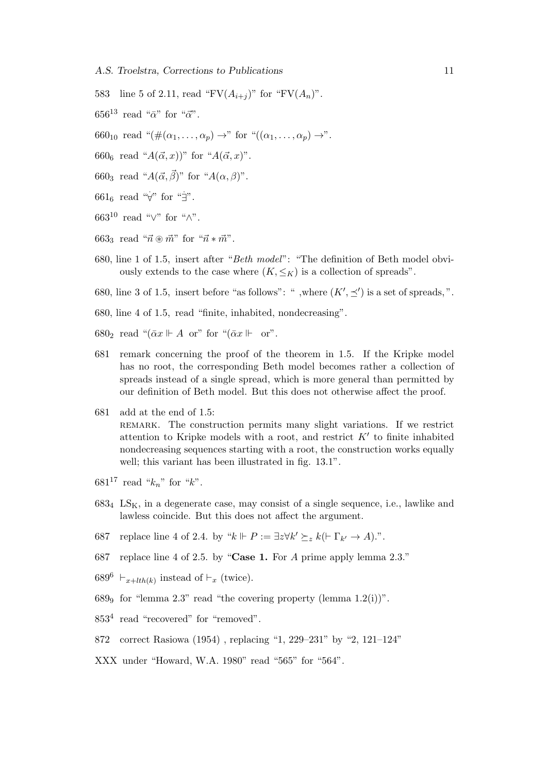- 583 line 5 of 2.11, read "FV $(A_{i+j})$ " for "FV $(A_n)$ ".
- 656<sup>13</sup> read " $\bar{\alpha}$ " for " $\vec{\alpha}$ ".
- 660<sub>10</sub> read " $(\#(\alpha_1,\ldots,\alpha_p) \to$ " for " $((\alpha_1,\ldots,\alpha_p) \to$ ".
- 660<sub>6</sub> read " $A(\vec{\alpha}, x)$ " for " $A(\vec{\alpha}, x)$ ".
- 660<sub>3</sub> read " $A(\vec{\alpha}, \vec{\beta})$ " for " $A(\alpha, \beta)$ ".
- 661<sub>6</sub> read " $\forall$ " for " $\exists$ ".
- 663<sup>10</sup> read " $\vee$ " for " $\wedge$ ".
- 663<sub>3</sub> read " $\vec{n} \circledast \vec{m}$ " for " $\vec{n} * \vec{m}$ ".
- 680, line 1 of 1.5, insert after "Beth model": "The definition of Beth model obviously extends to the case where  $(K, \leq_K)$  is a collection of spreads".
- 680, line 3 of 1.5, insert before "as follows": ", where  $(K', \preceq')$  is a set of spreads,".
- 680, line 4 of 1.5, read "finite, inhabited, nondecreasing".
- 680<sub>2</sub> read " $(\bar{\alpha}x \Vdash A \text{ or}$ " for " $(\bar{\alpha}x \Vdash \text{ or}$ ".
- 681 remark concerning the proof of the theorem in 1.5. If the Kripke model has no root, the corresponding Beth model becomes rather a collection of spreads instead of a single spread, which is more general than permitted by our definition of Beth model. But this does not otherwise affect the proof.
- 681 add at the end of 1.5: REMARK. The construction permits many slight variations. If we restrict attention to Kripke models with a root, and restrict  $K'$  to finite inhabited nondecreasing sequences starting with a root, the construction works equally well; this variant has been illustrated in fig. 13.1".
- 681<sup>17</sup> read " $k_n$ " for " $k$ ".
- $683<sub>4</sub>$  LS<sub>K</sub>, in a degenerate case, may consist of a single sequence, i.e., lawlike and lawless coincide. But this does not affect the argument.
- 687 replace line 4 of 2.4. by " $k \Vdash P := \exists z \forall k' \succeq_z k (\vdash \Gamma_{k'} \to A)$ .".
- 687 replace line 4 of 2.5. by "Case 1. For A prime apply lemma 2.3."
- 689<sup>6</sup>  $\vdash_{x+lth(k)}$  instead of  $\vdash_x$  (twice).
- 689<sub>9</sub> for "lemma 2.3" read "the covering property (lemma  $1.2(i)$ ".
- 853<sup>4</sup> read "recovered" for "removed".
- 872 correct Rasiowa (1954) , replacing "1, 229–231" by "2, 121–124"
- XXX under "Howard, W.A. 1980" read "565" for "564".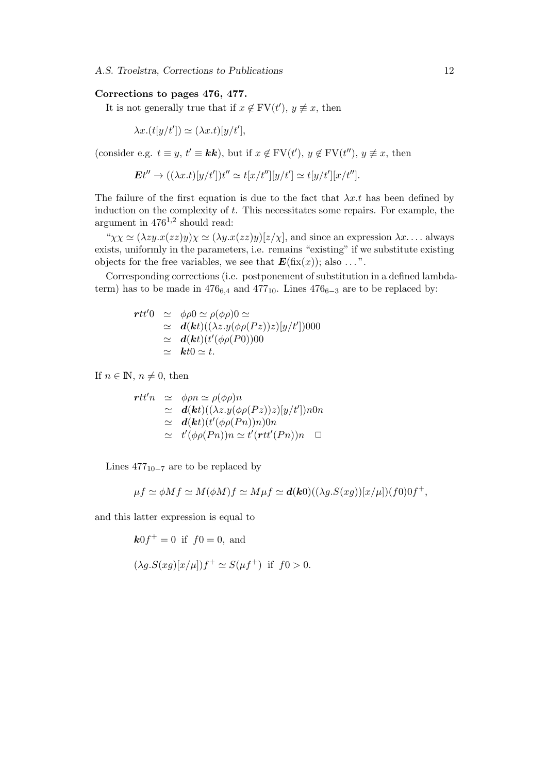#### Corrections to pages 476, 477.

It is not generally true that if  $x \notin \mathrm{FV}(t')$ ,  $y \neq x$ , then

 $\lambda x.(t[y/t']) \simeq (\lambda x.t)[y/t'],$ 

(consider e.g.  $t \equiv y, t' \equiv k k$ ), but if  $x \notin FV(t')$ ,  $y \notin FV(t'')$ ,  $y \not\equiv x$ , then

$$
\boldsymbol{E}t'' \to ((\lambda x. t)[y/t'])t'' \simeq t[x/t'][y/t'] \simeq t[y/t'][x/t''].
$$

The failure of the first equation is due to the fact that  $\lambda x.t$  has been defined by induction on the complexity of  $t$ . This necessitates some repairs. For example, the argument in  $476^{1,2}$  should read:

" $\chi \chi \simeq (\lambda z y.x(zz)y)\chi \simeq (\lambda y.x(zz)y)[z/\chi]$ , and since an expression  $\lambda x$ .... always exists, uniformly in the parameters, i.e. remains "existing" if we substitute existing objects for the free variables, we see that  $\mathbf{E}(\text{fix}(x))$ ; also ...".

Corresponding corrections (i.e. postponement of substitution in a defined lambdaterm) has to be made in  $476_{6,4}$  and  $477_{10}$ . Lines  $476_{6-3}$  are to be replaced by:

$$
rtt'0 \simeq \phi \rho 0 \simeq \rho(\phi \rho) 0 \simeq
$$
  
\simeq  $d(\mathbf{k}t)((\lambda z.y(\phi \rho(Pz))z)[y/t'])000$   
\simeq  $d(\mathbf{k}t)(t'(\phi \rho(P0))00$   
\simeq  $\mathbf{k}t0 \simeq t$ .

If  $n \in \mathbb{N}$ ,  $n \neq 0$ , then

$$
rtt'n \simeq \phi \rho n \simeq \rho(\phi \rho)n
$$
  
\simeq  $d(\mathbf{k}t)((\lambda z.y(\phi \rho(Pz))z)[y/t'])n0n$   
\simeq  $d(\mathbf{k}t)(t'(\phi \rho(Pn))n)0n$   
\simeq  $t'(\phi \rho(Pn))n \simeq t'(rtt'(Pn))n \square$ 

Lines  $477_{10-7}$  are to be replaced by

$$
\mu f \simeq \phi M f \simeq M(\phi M) f \simeq M \mu f \simeq d(\mathbf{k}0)((\lambda g.S(xg))[x/\mu])(f0)0f^+,
$$

and this latter expression is equal to

$$
\mathbf{k}0f^+ = 0 \text{ if } f0 = 0, \text{ and}
$$
  

$$
(\lambda g.S(xg)[x/\mu])f^+ \simeq S(\mu f^+) \text{ if } f0 > 0.
$$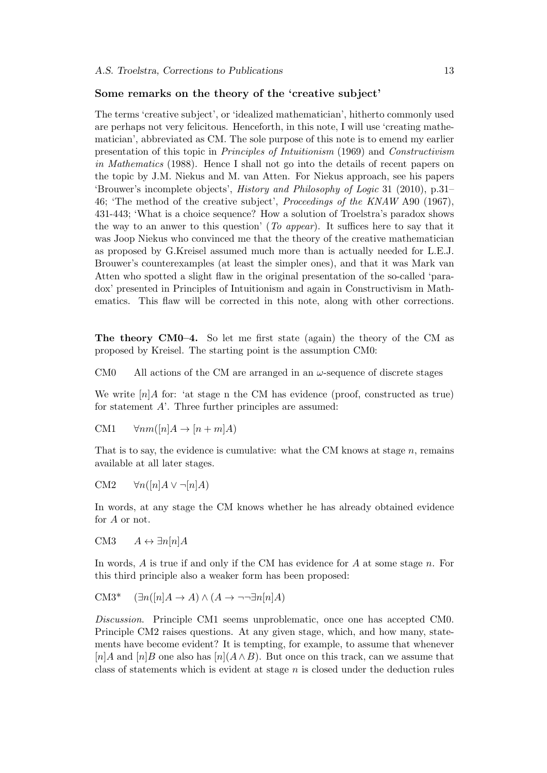### Some remarks on the theory of the 'creative subject'

The terms 'creative subject', or 'idealized mathematician', hitherto commonly used are perhaps not very felicitous. Henceforth, in this note, I will use 'creating mathematician', abbreviated as CM. The sole purpose of this note is to emend my earlier presentation of this topic in Principles of Intuitionism (1969) and Constructivism in Mathematics (1988). Hence I shall not go into the details of recent papers on the topic by J.M. Niekus and M. van Atten. For Niekus approach, see his papers 'Brouwer's incomplete objects', History and Philosophy of Logic 31 (2010), p.31– 46; 'The method of the creative subject', Proceedings of the KNAW A90 (1967), 431-443; 'What is a choice sequence? How a solution of Troelstra's paradox shows the way to an anwer to this question' (To appear). It suffices here to say that it was Joop Niekus who convinced me that the theory of the creative mathematician as proposed by G.Kreisel assumed much more than is actually needed for L.E.J. Brouwer's counterexamples (at least the simpler ones), and that it was Mark van Atten who spotted a slight flaw in the original presentation of the so-called 'paradox' presented in Principles of Intuitionism and again in Constructivism in Mathematics. This flaw will be corrected in this note, along with other corrections.

The theory CM0–4. So let me first state (again) the theory of the CM as proposed by Kreisel. The starting point is the assumption CM0:

CM0 All actions of the CM are arranged in an  $\omega$ -sequence of discrete stages

We write  $[n]A$  for: 'at stage n the CM has evidence (proof, constructed as true) for statement A'. Three further principles are assumed:

$$
CM1 \qquad \forall nm([n]A \to [n+m]A)
$$

That is to say, the evidence is cumulative: what the CM knows at stage  $n$ , remains available at all later stages.

CM2  $\forall n([n]A \vee \neg[n]A)$ 

In words, at any stage the CM knows whether he has already obtained evidence for A or not.

$$
CM3 \t A \leftrightarrow \exists n[n]A
$$

In words,  $A$  is true if and only if the CM has evidence for  $A$  at some stage  $n$ . For this third principle also a weaker form has been proposed:

$$
CM3^* \quad (\exists n([n]A \to A) \land (A \to \neg\neg \exists n[n]A)
$$

Discussion. Principle CM1 seems unproblematic, once one has accepted CM0. Principle CM2 raises questions. At any given stage, which, and how many, statements have become evident? It is tempting, for example, to assume that whenever [n]A and [n]B one also has  $[n](A \wedge B)$ . But once on this track, can we assume that class of statements which is evident at stage  $n$  is closed under the deduction rules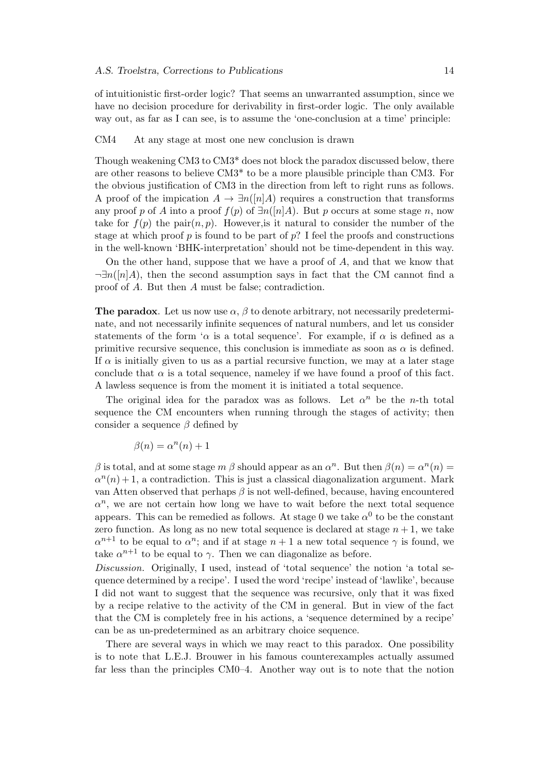of intuitionistic first-order logic? That seems an unwarranted assumption, since we have no decision procedure for derivability in first-order logic. The only available way out, as far as I can see, is to assume the 'one-conclusion at a time' principle:

### CM4 At any stage at most one new conclusion is drawn

Though weakening CM3 to CM3\* does not block the paradox discussed below, there are other reasons to believe CM3\* to be a more plausible principle than CM3. For the obvious justification of CM3 in the direction from left to right runs as follows. A proof of the impication  $A \to \exists n([n]A)$  requires a construction that transforms any proof p of A into a proof  $f(p)$  of  $\exists n([n]A)$ . But p occurs at some stage n, now take for  $f(p)$  the pair $(n, p)$ . However, is it natural to consider the number of the stage at which proof  $p$  is found to be part of  $p$ ? I feel the proofs and constructions in the well-known 'BHK-interpretation' should not be time-dependent in this way.

On the other hand, suppose that we have a proof of  $A$ , and that we know that  $\neg \exists n([n]A)$ , then the second assumption says in fact that the CM cannot find a proof of A. But then A must be false; contradiction.

**The paradox**. Let us now use  $\alpha$ ,  $\beta$  to denote arbitrary, not necessarily predeterminate, and not necessarily infinite sequences of natural numbers, and let us consider statements of the form ' $\alpha$  is a total sequence'. For example, if  $\alpha$  is defined as a primitive recursive sequence, this conclusion is immediate as soon as  $\alpha$  is defined. If  $\alpha$  is initially given to us as a partial recursive function, we may at a later stage conclude that  $\alpha$  is a total sequence, nameley if we have found a proof of this fact. A lawless sequence is from the moment it is initiated a total sequence.

The original idea for the paradox was as follows. Let  $\alpha^n$  be the *n*-th total sequence the CM encounters when running through the stages of activity; then consider a sequence  $\beta$  defined by

$$
\beta(n) = \alpha^n(n) + 1
$$

β is total, and at some stage m β should appear as an  $\alpha^n$ . But then  $\beta(n) = \alpha^n(n)$  $\alpha^{n}(n) + 1$ , a contradiction. This is just a classical diagonalization argument. Mark van Atten observed that perhaps  $\beta$  is not well-defined, because, having encountered  $\alpha^n$ , we are not certain how long we have to wait before the next total sequence appears. This can be remedied as follows. At stage 0 we take  $\alpha^0$  to be the constant zero function. As long as no new total sequence is declared at stage  $n+1$ , we take  $\alpha^{n+1}$  to be equal to  $\alpha^n$ ; and if at stage  $n+1$  a new total sequence  $\gamma$  is found, we take  $\alpha^{n+1}$  to be equal to  $\gamma$ . Then we can diagonalize as before.

Discussion. Originally, I used, instead of 'total sequence' the notion 'a total sequence determined by a recipe'. I used the word 'recipe' instead of 'lawlike', because I did not want to suggest that the sequence was recursive, only that it was fixed by a recipe relative to the activity of the CM in general. But in view of the fact that the CM is completely free in his actions, a 'sequence determined by a recipe' can be as un-predetermined as an arbitrary choice sequence.

There are several ways in which we may react to this paradox. One possibility is to note that L.E.J. Brouwer in his famous counterexamples actually assumed far less than the principles CM0–4. Another way out is to note that the notion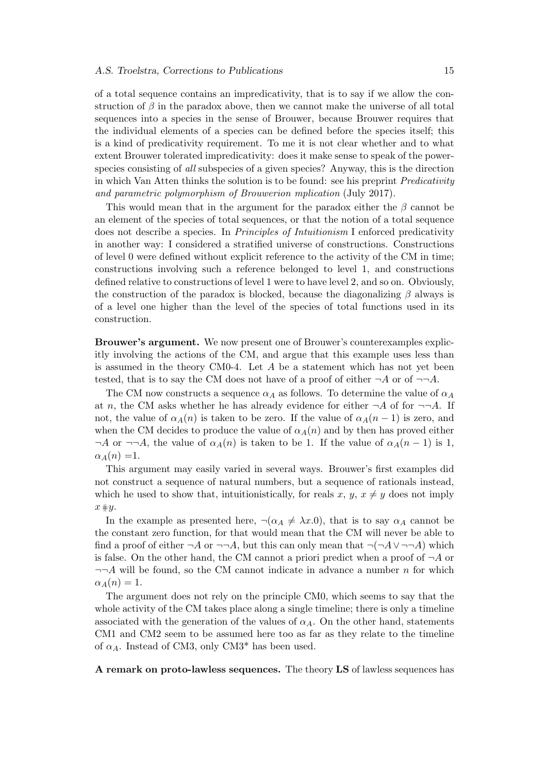of a total sequence contains an impredicativity, that is to say if we allow the construction of  $\beta$  in the paradox above, then we cannot make the universe of all total sequences into a species in the sense of Brouwer, because Brouwer requires that the individual elements of a species can be defined before the species itself; this is a kind of predicativity requirement. To me it is not clear whether and to what extent Brouwer tolerated impredicativity: does it make sense to speak of the powerspecies consisting of all subspecies of a given species? Anyway, this is the direction in which Van Atten thinks the solution is to be found: see his preprint Predicativity and parametric polymorphism of Brouwerion mplication (July 2017).

This would mean that in the argument for the paradox either the  $\beta$  cannot be an element of the species of total sequences, or that the notion of a total sequence does not describe a species. In Principles of Intuitionism I enforced predicativity in another way: I considered a stratified universe of constructions. Constructions of level 0 were defined without explicit reference to the activity of the CM in time; constructions involving such a reference belonged to level 1, and constructions defined relative to constructions of level 1 were to have level 2, and so on. Obviously, the construction of the paradox is blocked, because the diagonalizing  $\beta$  always is of a level one higher than the level of the species of total functions used in its construction.

Brouwer's argument. We now present one of Brouwer's counterexamples explicitly involving the actions of the CM, and argue that this example uses less than is assumed in the theory  $CM0-4$ . Let A be a statement which has not yet been tested, that is to say the CM does not have of a proof of either  $\neg A$  or of  $\neg\neg A$ .

The CM now constructs a sequence  $\alpha_A$  as follows. To determine the value of  $\alpha_A$ at n, the CM asks whether he has already evidence for either  $\neg A$  of for  $\neg\neg A$ . If not, the value of  $\alpha_A(n)$  is taken to be zero. If the value of  $\alpha_A(n-1)$  is zero, and when the CM decides to produce the value of  $\alpha_A(n)$  and by then has proved either  $\neg A$  or  $\neg\neg A$ , the value of  $\alpha_A(n)$  is taken to be 1. If the value of  $\alpha_A(n-1)$  is 1,  $\alpha_A(n) = 1.$ 

This argument may easily varied in several ways. Brouwer's first examples did not construct a sequence of natural numbers, but a sequence of rationals instead, which he used to show that, intuitionistically, for reals x, y,  $x \neq y$  does not imply  $x \# y$ .

In the example as presented here,  $\neg(\alpha_A \neq \lambda x.0)$ , that is to say  $\alpha_A$  cannot be the constant zero function, for that would mean that the CM will never be able to find a proof of either  $\neg A$  or  $\neg\neg A$ , but this can only mean that  $\neg(\neg A \vee \neg \neg A)$  which is false. On the other hand, the CM cannot a priori predict when a proof of  $\neg A$  or  $\neg\neg A$  will be found, so the CM cannot indicate in advance a number n for which  $\alpha_A(n) = 1.$ 

The argument does not rely on the principle CM0, which seems to say that the whole activity of the CM takes place along a single timeline; there is only a timeline associated with the generation of the values of  $\alpha_A$ . On the other hand, statements CM1 and CM2 seem to be assumed here too as far as they relate to the timeline of  $\alpha_A$ . Instead of CM3, only CM3<sup>\*</sup> has been used.

A remark on proto-lawless sequences. The theory LS of lawless sequences has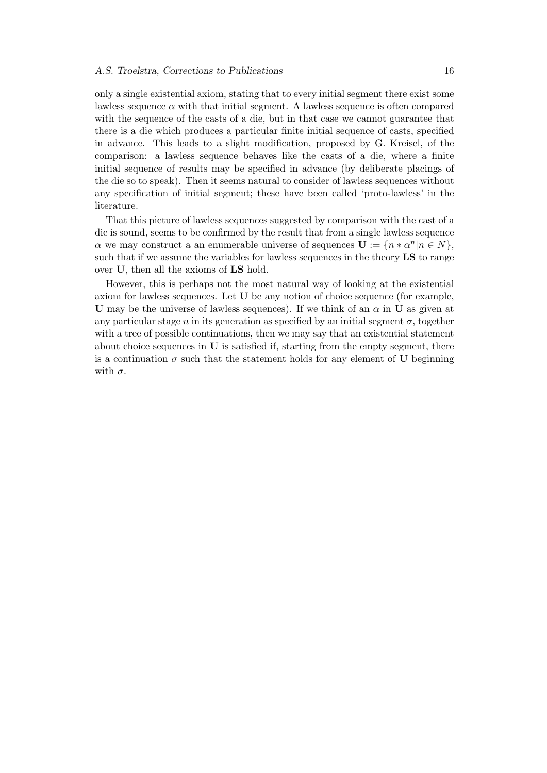only a single existential axiom, stating that to every initial segment there exist some lawless sequence  $\alpha$  with that initial segment. A lawless sequence is often compared with the sequence of the casts of a die, but in that case we cannot guarantee that there is a die which produces a particular finite initial sequence of casts, specified in advance. This leads to a slight modification, proposed by G. Kreisel, of the comparison: a lawless sequence behaves like the casts of a die, where a finite initial sequence of results may be specified in advance (by deliberate placings of the die so to speak). Then it seems natural to consider of lawless sequences without any specification of initial segment; these have been called 'proto-lawless' in the literature.

That this picture of lawless sequences suggested by comparison with the cast of a die is sound, seems to be confirmed by the result that from a single lawless sequence  $\alpha$  we may construct a an enumerable universe of sequences  $\mathbf{U} := \{n * \alpha^n | n \in N\},\$ such that if we assume the variables for lawless sequences in the theory LS to range over U, then all the axioms of LS hold.

However, this is perhaps not the most natural way of looking at the existential axiom for lawless sequences. Let U be any notion of choice sequence (for example, U may be the universe of lawless sequences). If we think of an  $\alpha$  in U as given at any particular stage n in its generation as specified by an initial segment  $\sigma$ , together with a tree of possible continuations, then we may say that an existential statement about choice sequences in  **is satisfied if, starting from the empty segment, there** is a continuation  $\sigma$  such that the statement holds for any element of U beginning with  $\sigma$ .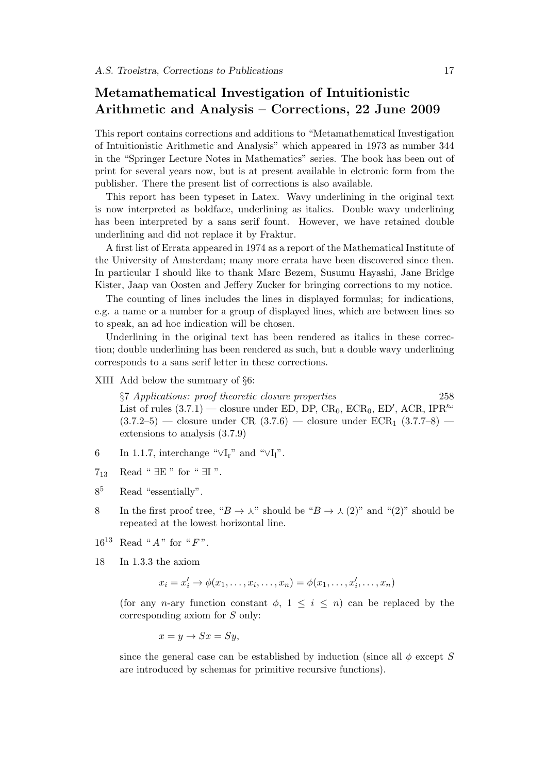# Metamathematical Investigation of Intuitionistic Arithmetic and Analysis – Corrections, 22 June 2009

This report contains corrections and additions to "Metamathematical Investigation of Intuitionistic Arithmetic and Analysis" which appeared in 1973 as number 344 in the "Springer Lecture Notes in Mathematics" series. The book has been out of print for several years now, but is at present available in elctronic form from the publisher. There the present list of corrections is also available.

This report has been typeset in Latex. Wavy underlining in the original text is now interpreted as boldface, underlining as italics. Double wavy underlining has been interpreted by a sans serif fount. However, we have retained double underlining and did not replace it by Fraktur.

A first list of Errata appeared in 1974 as a report of the Mathematical Institute of the University of Amsterdam; many more errata have been discovered since then. In particular I should like to thank Marc Bezem, Susumu Hayashi, Jane Bridge Kister, Jaap van Oosten and Jeffery Zucker for bringing corrections to my notice.

The counting of lines includes the lines in displayed formulas; for indications, e.g. a name or a number for a group of displayed lines, which are between lines so to speak, an ad hoc indication will be chosen.

Underlining in the original text has been rendered as italics in these correction; double underlining has been rendered as such, but a double wavy underlining corresponds to a sans serif letter in these corrections.

XIII Add below the summary of §6:

§7 Applications: proof theoretic closure properties 258 List of rules  $(3.7.1)$  — closure under ED, DP, CR<sub>0</sub>, ECR<sub>0</sub>, ED', ACR, IPR<sup> $\omega$ </sup>  $(3.7.2-5)$  — closure under CR  $(3.7.6)$  — closure under ECR<sub>1</sub>  $(3.7.7-8)$  extensions to analysis (3.7.9)

- 6 In 1.1.7, interchange " $\vee I_r$ " and " $\vee I_l$ ".
- $7_{13}$  Read " ∃E " for " ∃I ".
- 8 Read "essentially".
- 8 In the first proof tree, " $B \to \lambda$ " should be " $B \to \lambda$  (2)" and "(2)" should be repeated at the lowest horizontal line.
- $16^{13}$  Read " A" for " F".
- 18 In 1.3.3 the axiom

$$
x_i = x'_i \rightarrow \phi(x_1, \ldots, x_i, \ldots, x_n) = \phi(x_1, \ldots, x'_i, \ldots, x_n)
$$

(for any *n*-ary function constant  $\phi$ ,  $1 \leq i \leq n$ ) can be replaced by the corresponding axiom for S only:

$$
x = y \to Sx = Sy,
$$

since the general case can be established by induction (since all  $\phi$  except S are introduced by schemas for primitive recursive functions).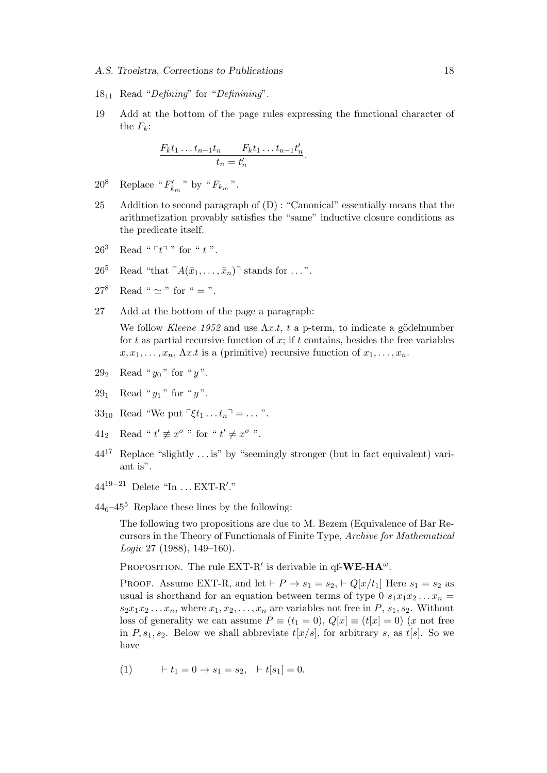- $18_{11}$  Read "Defining" for "Definining".
- 19 Add at the bottom of the page rules expressing the functional character of the  $F_k$ :

$$
\frac{F_k t_1 \dots t_{n-1} t_n \qquad F_k t_1 \dots t_{n-1} t'_n}{t_n = t'_n}.
$$

- 20<sup>8</sup> Replace " $F'_{k_m}$ " by " $F_{k_m}$ ".
- 25 Addition to second paragraph of (D) : "Canonical" essentially means that the arithmetization provably satisfies the "same" inductive closure conditions as the predicate itself.
- 26<sup>3</sup> Read "  $\ulcorner t \urcorner$ " for " t".
- 26<sup>5</sup> Read "that  $\ulcorner A(\bar{x}_1, \ldots, \bar{x}_n) \urcorner$  stands for ...".
- 27<sup>8</sup> Read "  $\simeq$  " for " = ".
- 27 Add at the bottom of the page a paragraph:

We follow Kleene 1952 and use  $\Lambda x.t. t$  a p-term, to indicate a gödelnumber for t as partial recursive function of  $x$ ; if t contains, besides the free variables  $x, x_1, \ldots, x_n, \Lambda x.t$  is a (primitive) recursive function of  $x_1, \ldots, x_n$ .

- 29<sub>2</sub> Read " $y_0$ " for " $y$ ".
- 29<sub>1</sub> Read " $y_1$ " for " $y$ ".
- 33<sub>10</sub> Read "We put  $\lceil \xi t_1 ... t_n \rceil = ...$ ".
- 41<sub>2</sub> Read "  $t' \not\equiv x^{\sigma}$  " for "  $t' \neq x^{\sigma}$  ".
- $44^{17}$  Replace "slightly ... is" by "seemingly stronger (but in fact equivalent) variant is".
- $44^{19-21}$  Delete "In ... EXT-R'."
- $446 45^5$  Replace these lines by the following:

The following two propositions are due to M. Bezem (Equivalence of Bar Recursors in the Theory of Functionals of Finite Type, Archive for Mathematical Logic 27 (1988), 149–160).

PROPOSITION. The rule  $EXT-R'$  is derivable in qf-WE-HA $\omega$ .

PROOF. Assume EXT-R, and let  $\vdash P \rightarrow s_1 = s_2, \vdash Q[x/t_1]$  Here  $s_1 = s_2$  as usual is shorthand for an equation between terms of type  $0 s_1x_1x_2...x_n =$  $s_2x_1x_2...x_n$ , where  $x_1, x_2,...,x_n$  are variables not free in P,  $s_1, s_2$ . Without loss of generality we can assume  $P \equiv (t_1 = 0), Q[x] \equiv (t[x] = 0)$  (x not free in P,  $s_1, s_2$ . Below we shall abbreviate  $t[x/s]$ , for arbitrary s, as  $t[s]$ . So we have

(1)  $\qquad \vdash t_1 = 0 \rightarrow s_1 = s_2, \quad \vdash t[s_1] = 0.$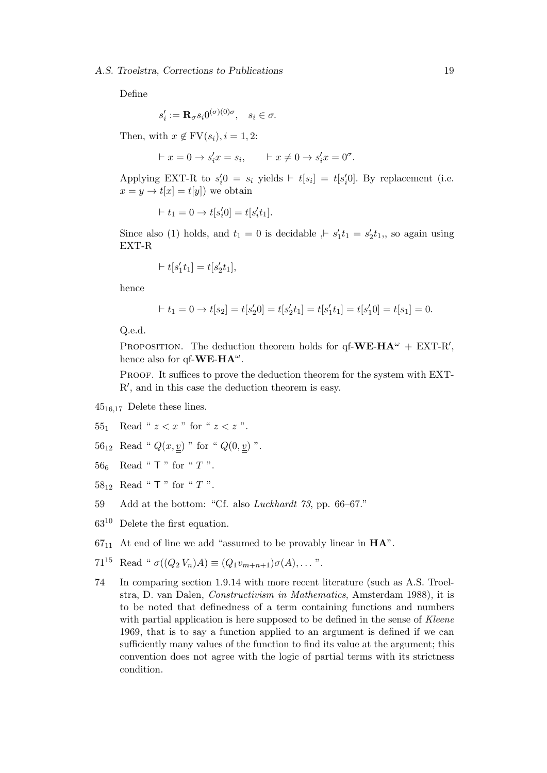Define

$$
s_i' := \mathbf{R}_{\sigma} s_i 0^{(\sigma)(0)\sigma}, \quad s_i \in \sigma.
$$

Then, with  $x \notin FV(s_i), i = 1, 2$ :

$$
\vdash x = 0 \to s_i' x = s_i, \qquad \vdash x \neq 0 \to s_i' x = 0^{\sigma}.
$$

Applying EXT-R to  $s_i'0 = s_i$  yields  $\vdash t[s_i] = t[s_i'0]$ . By replacement (i.e.  $x = y \rightarrow t[x] = t[y]$  we obtain

$$
\vdash t_1 = 0 \to t[s'_i 0] = t[s'_i t_1].
$$

Since also (1) holds, and  $t_1 = 0$  is decidable  $\vdash s_1't_1 = s_2't_1$ , so again using EXT-R

$$
\vdash t[s_1't_1] = t[s_2't_1],
$$

hence

$$
\vdash t_1 = 0 \to t[s_2] = t[s_2'0] = t[s_2't_1] = t[s_1't_1] = t[s_1'0] = t[s_1] = 0.
$$

Q.e.d.

PROPOSITION. The deduction theorem holds for qf-WE-HA<sup> $\omega$ </sup> + EXT-R', hence also for qf- $\mathbf{WE}\text{-}\mathbf{HA}^{\omega}$ .

PROOF. It suffices to prove the deduction theorem for the system with EXT- $R'$ , and in this case the deduction theorem is easy.

4516,<sup>17</sup> Delete these lines.

- 55<sub>1</sub> Read "  $z < x$  " for "  $z < z$  ".
- 56<sub>12</sub> Read "  $Q(x, y)$ " for "  $Q(0, y)$ ".
- $56<sub>6</sub>$  Read " T " for " T ".
- $58_{12}$  Read " T " for " T ".
- 59 Add at the bottom: "Cf. also Luckhardt 73, pp. 66–67."
- $63^{10}$  Delete the first equation.
- $67_{11}$  At end of line we add "assumed to be provably linear in  $AA$ ".
- 71<sup>15</sup> Read "  $\sigma((Q_2 V_n)A) \equiv (Q_1 v_{m+n+1})\sigma(A), \ldots$  ".
- 74 In comparing section 1.9.14 with more recent literature (such as A.S. Troelstra, D. van Dalen, Constructivism in Mathematics, Amsterdam 1988), it is to be noted that definedness of a term containing functions and numbers with partial application is here supposed to be defined in the sense of Kleene 1969, that is to say a function applied to an argument is defined if we can sufficiently many values of the function to find its value at the argument; this convention does not agree with the logic of partial terms with its strictness condition.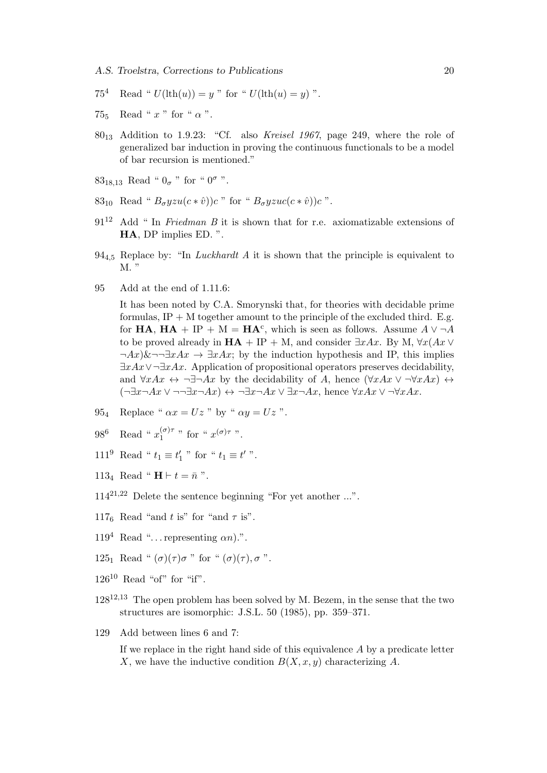- A.S. Troelstra, Corrections to Publications 20
- 75<sup>4</sup> Read "  $U(\text{lth}(u)) = y$  " for "  $U(\text{lth}(u) = y)$ ".
- 75<sub>5</sub> Read "  $x$  " for "  $\alpha$  ".
- $80_{13}$  Addition to 1.9.23: "Cf. also Kreisel 1967, page 249, where the role of generalized bar induction in proving the continuous functionals to be a model of bar recursion is mentioned."
- 83<sub>18,13</sub> Read "  $0_{\sigma}$  " for "  $0^{\sigma}$ ".
- 83<sub>10</sub> Read "  $B_{\sigma}$ yzu $(c * \hat{v})$ c " for "  $B_{\sigma}$ yzuc $(c * \hat{v})$ c ".
- $91<sup>12</sup>$  Add " In *Friedman B* it is shown that for r.e. axiomatizable extensions of HA, DP implies ED. ".
- $94<sub>4.5</sub>$  Replace by: "In *Luckhardt A* it is shown that the principle is equivalent to M. "
- 95 Add at the end of 1.11.6:

It has been noted by C.A. Smorynski that, for theories with decidable prime formulas,  $IP + M$  together amount to the principle of the excluded third. E.g. for HA,  $HA + IP + M = HA<sup>c</sup>$ , which is seen as follows. Assume  $A \vee \neg A$ to be proved already in  $HA + IP + M$ , and consider  $\exists xAx$ . By M,  $\forall x(Ax \vee$  $\neg Ax$ )& $\neg \neg \exists x Ax \rightarrow \exists x Ax$ ; by the induction hypothesis and IP, this implies  $\exists xAx\vee \neg \exists xAx$ . Application of propositional operators preserves decidability, and  $\forall xAx \leftrightarrow \neg \exists \neg Ax$  by the decidability of A, hence  $(\forall xAx \vee \neg \forall xAx) \leftrightarrow$  $(\neg \exists x \neg Ax \vee \neg \neg \exists x \neg Ax) \leftrightarrow \neg \exists x \neg Ax \vee \exists x \neg Ax$ , hence  $\forall x Ax \vee \neg \forall x Ax$ .

- 95<sub>4</sub> Replace "  $\alpha x = Uz$ " by "  $\alpha y = Uz$ ".
- 98<sup>6</sup> Read " $x_1^{(\sigma)\tau}$  $\int_{1}^{(\sigma)\tau}$  " for "  $x^{(\sigma)\tau}$  ".
- 111<sup>9</sup> Read "  $t_1 \equiv t'_1$  " for "  $t_1 \equiv t'$  ".
- 113<sub>4</sub> Read "  $\mathbf{H} \vdash t = \bar{n}$  ".
- $114^{21,22}$  Delete the sentence beginning "For yet another ...".
- 117<sub>6</sub> Read "and t is" for "and  $\tau$  is".
- 119<sup>4</sup> Read "... representing  $\alpha n$ ).".
- 125<sub>1</sub> Read "  $(\sigma)(\tau)\sigma$ " for "  $(\sigma)(\tau), \sigma$ ".
- $126^{10}$  Read "of" for "if".
- $128^{12,13}$  The open problem has been solved by M. Bezem, in the sense that the two structures are isomorphic: J.S.L. 50 (1985), pp. 359–371.
- 129 Add between lines 6 and 7:

If we replace in the right hand side of this equivalence  $A$  by a predicate letter X, we have the inductive condition  $B(X, x, y)$  characterizing A.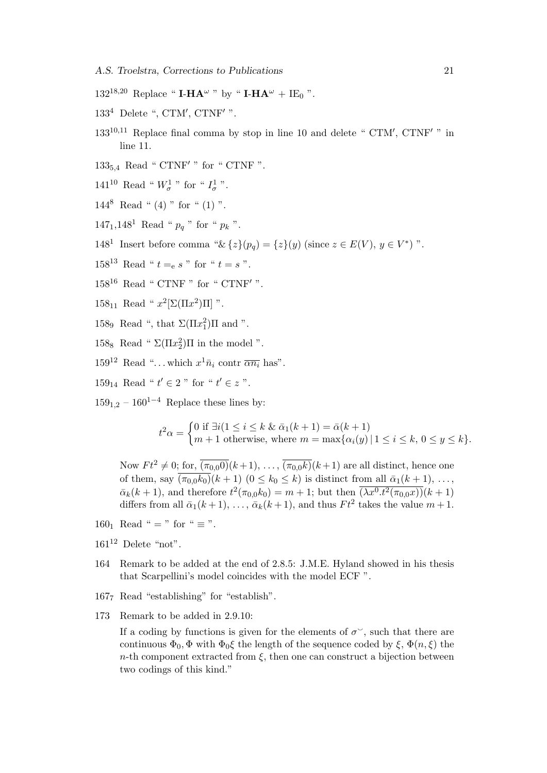- 132<sup>18,20</sup> Replace " I-HA<sup> $\omega$ </sup> " by " I-HA<sup> $\omega$ </sup> + IE<sub>0</sub> ".
- $133<sup>4</sup>$  Delete ", CTM', CTNF' ".
- $133^{10,11}$  Replace final comma by stop in line 10 and delete "CTM', CTNF'" in line 11.
- $133_{5.4}$  Read " CTNF' " for " CTNF ".
- 141<sup>10</sup> Read "  $W_{\sigma}^{1}$  " for "  $I_{\sigma}^{1}$  ".
- $144^8$  Read " (4) " for " (1) ".
- 147<sub>1</sub>,148<sup>1</sup> Read "  $p_q$  " for "  $p_k$ ".
- 148<sup>1</sup> Insert before comma " $\& \{z\}(p_q) = \{z\}(y)$  (since  $z \in E(V)$ ,  $y \in V^*$ )".
- 158<sup>13</sup> Read "  $t = e^s$  " for "  $t = s$  ".
- $158^{16}$  Read " CTNF " for " CTNF' ".
- 158<sub>11</sub> Read "  $x^2[\Sigma(\Pi x^2)\Pi]$  ".
- 158<sub>9</sub> Read ", that  $\Sigma(\Pi x_1^2)\Pi$  and ".
- 158<sub>8</sub> Read "  $\Sigma(\Pi x_2^2)\Pi$  in the model ".
- $159^{12}$  Read "... which  $x^1\overline{n}_i$  contr  $\overline{\alpha n_i}$  has".
- 159<sub>14</sub> Read "  $t' \in 2$  " for "  $t' \in z$  ".
- $159_{1,2} 160^{1-4}$  Replace these lines by:

$$
t^2 \alpha = \begin{cases} 0 \text{ if } \exists i (1 \le i \le k \ \& \bar{\alpha}_1(k+1) = \bar{\alpha}(k+1) \\ m+1 \text{ otherwise, where } m = \max\{\alpha_i(y) \mid 1 \le i \le k, \ 0 \le y \le k\}. \end{cases}
$$

Now  $F t^2 \neq 0$ ; for,  $\overline{(\pi_{0,0}0)}(k+1), \ldots, \overline{(\pi_{0,0}k)}(k+1)$  are all distinct, hence one of them, say  $\overline{(\pi_0_0 k_0)}(k+1)$   $(0 \le k_0 \le k)$  is distinct from all  $\overline{\alpha_1}(k+1), \ldots$  $\bar{\alpha}_k(k+1)$ , and therefore  $t^2(\pi_{0,0}k_0) = m+1$ ; but then  $\overline{(\lambda x^0 \cdot t^2(\pi_{0,0}x))}(k+1)$ differs from all  $\bar{\alpha}_1(k+1), \ldots, \bar{\alpha}_k(k+1)$ , and thus  $Ft^2$  takes the value  $m+1$ .

- $160<sub>1</sub>$  Read " = " for "  $\equiv$  ".
- $161^{12}$  Delete "not".
- 164 Remark to be added at the end of 2.8.5: J.M.E. Hyland showed in his thesis that Scarpellini's model coincides with the model ECF ".
- 167<sup>7</sup> Read "establishing" for "establish".
- 173 Remark to be added in 2.9.10:

If a coding by functions is given for the elements of  $\sigma^{\vee}$ , such that there are continuous  $\Phi_0$ ,  $\Phi$  with  $\Phi_0 \xi$  the length of the sequence coded by  $\xi$ ,  $\Phi(n, \xi)$  the n-th component extracted from  $\xi$ , then one can construct a bijection between two codings of this kind."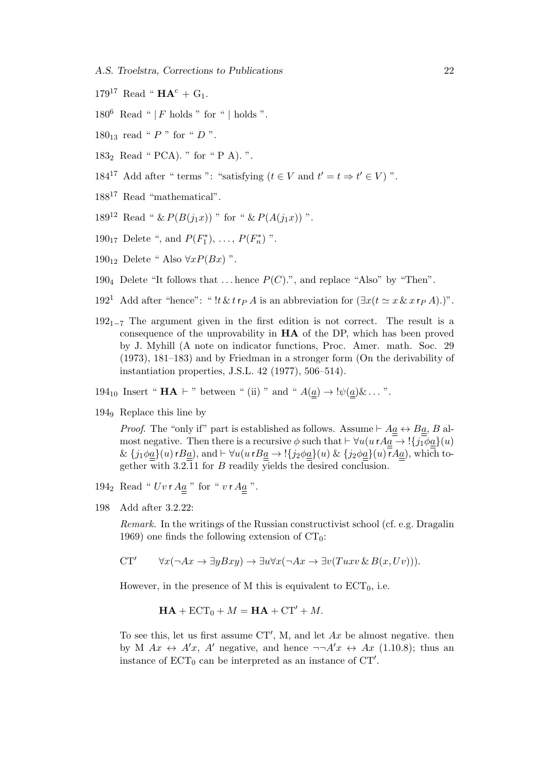- $179^{17}$  Read "  $HA^{c} + G_1$ .
- $180^6$  Read " | F holds " for " | holds ".
- $180_{13}$  read " P " for " D ".
- 183<sup>2</sup> Read " PCA). " for " P A). ".
- 184<sup>17</sup> Add after " terms ": "satisfying  $(t \in V \text{ and } t' = t \Rightarrow t' \in V)$ ".
- 188<sup>17</sup> Read "mathematical".
- 189<sup>12</sup> Read "  $\& P(B(j_1x))$  " for "  $\& P(A(j_1x))$  ".
- 190<sub>17</sub> Delete ", and  $P(F_1^*), \ldots, P(F_n^*)$ ".
- 190<sub>12</sub> Delete " Also  $\forall x P(Bx)$ ".
- 190<sub>4</sub> Delete "It follows that ... hence  $P(C)$ .", and replace "Also" by "Then".
- 192<sup>1</sup> Add after "hence": "  $!t \& t \rvert_P A$  is an abbreviation for  $(\exists x(t \simeq x \& x \rvert_P A))$ ".
- $192_{1-7}$  The argument given in the first edition is not correct. The result is a consequence of the unprovability in HA of the DP, which has been proved by J. Myhill (A note on indicator functions, Proc. Amer. math. Soc. 29 (1973), 181–183) and by Friedman in a stronger form (On the derivability of instantiation properties, J.S.L. 42 (1977), 506–514).
- 194<sub>10</sub> Insert "  $HA \vdash$  " between " (ii) " and "  $A(\underline{a}) \rightarrow !\psi(\underline{a}) \& \dots$  ".
- 194<sup>9</sup> Replace this line by

*Proof.* The "only if" part is established as follows. Assume  $\vdash A \underline{a} \leftrightarrow B \underline{a}$ , B almost negative. Then there is a recursive  $\phi$  such that  $\vdash \forall u(u \, rA \underline{a} \rightarrow !\{j_1 \phi \underline{a}\}(u))$  $\& \{j_1\phi_1\}(u)$  r $B\underline{a}$ ), and  $\vdash \forall u(u \r{r}B\underline{a} \rightarrow \lbrace j_2\phi_2\rbrace(u) \& \{j_2\phi_2\}(u) \r{r}A\underline{a}$ ), which together with 3.2.11 for B readily yields the desired conclusion.

- 194<sub>2</sub> Read "  $Uv \r A\underline{a}$ " for "  $v \r A\underline{a}$ ".
- 198 Add after 3.2.22:

Remark. In the writings of the Russian constructivist school (cf. e.g. Dragalin 1969) one finds the following extension of  $CT_0$ :

$$
CT' \qquad \forall x(\neg Ax \to \exists y Bxy) \to \exists u \forall x(\neg Ax \to \exists v(Tuxv \& B(x, Uv))).
$$

However, in the presence of M this is equivalent to  $ECT_0$ , i.e.

$$
HA + ECT_0 + M = HA + CT' + M.
$$

To see this, let us first assume  $CT'$ , M, and let  $Ax$  be almost negative. then by M  $Ax \leftrightarrow A'x$ , A' negative, and hence  $\neg\neg A'x \leftrightarrow Ax$  (1.10.8); thus an instance of  $ECT_0$  can be interpreted as an instance of  $CT'$ .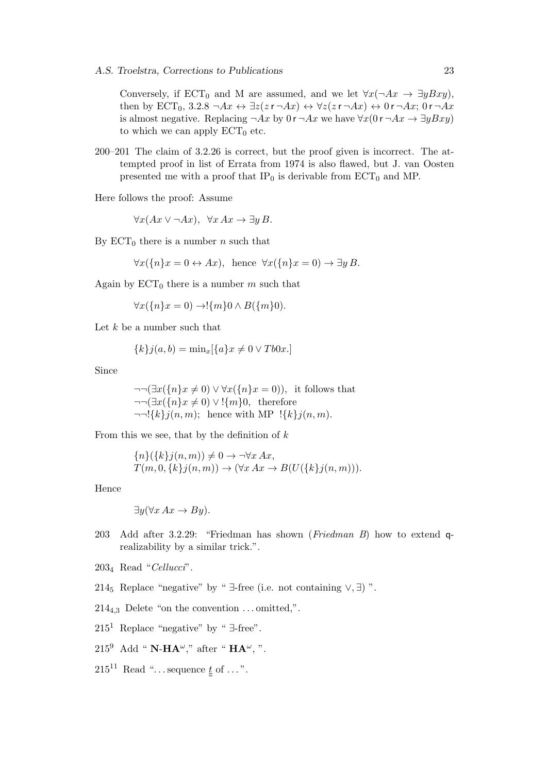Conversely, if ECT<sub>0</sub> and M are assumed, and we let  $\forall x(\neg Ax \rightarrow \exists yBxy)$ , then by  $\text{ECT}_0$ , 3.2.8  $\neg Ax \leftrightarrow \exists z(z \, \text{r} \, \neg Ax) \leftrightarrow \forall z(z \, \text{r} \, \neg Ax) \leftrightarrow 0$   $\text{r} \, \neg Ax$ ;  $0 \, \text{r} \, \neg Ax$ is almost negative. Replacing  $\neg Ax$  by  $0 \rightharpoonup Ax$  we have  $\forall x (0 \rightharpoonup Ax \rightarrow \exists y Bxy)$ to which we can apply  $ECT_0$  etc.

200–201 The claim of 3.2.26 is correct, but the proof given is incorrect. The attempted proof in list of Errata from 1974 is also flawed, but J. van Oosten presented me with a proof that  $IP_0$  is derivable from  $ECT_0$  and MP.

Here follows the proof: Assume

$$
\forall x (Ax \lor \neg Ax), \ \forall x \, Ax \to \exists y \, B.
$$

By  $\text{ECT}_0$  there is a number *n* such that

$$
\forall x (\{n\}x = 0 \leftrightarrow Ax), \text{ hence } \forall x (\{n\}x = 0) \rightarrow \exists y B.
$$

Again by  $ECT_0$  there is a number m such that

$$
\forall x (\{n\}x = 0) \rightarrow \exists \{m\}0 \land B(\{m\}0).
$$

Let  $k$  be a number such that

$$
\{k\}j(a,b) = \min_x[\{a\}x \neq 0 \lor Tb0x.]
$$

Since

 $\neg\neg(\exists x(\{n\}x \neq 0) \vee \forall x(\{n\}x = 0)),$  it follows that  $\neg\neg(\exists x(\{n\}x \neq 0) \vee !\{m\}0, \text{ therefore}$  $\neg \neg !\{k\}j(n,m);$  hence with MP  $\exists \{k\}j(n,m).$ 

From this we see, that by the definition of  $k$ 

$$
\{n\}(\{k\}j(n,m)) \neq 0 \to \neg \forall x \, Ax,
$$
  

$$
T(m, 0, \{k\}j(n, m)) \to (\forall x \, Ax \to B(U(\{k\}j(n, m))).
$$

Hence

$$
\exists y (\forall x \, Ax \to By).
$$

- 203 Add after 3.2.29: "Friedman has shown (Friedman B) how to extend qrealizability by a similar trick.".
- 203<sup>4</sup> Read "Cellucci".
- 214<sub>5</sub> Replace "negative" by "  $\exists$ -free (i.e. not containing  $\vee$ ,  $\exists$ ) ".
- $214_{4,3}$  Delete "on the convention ... omitted,".
- $215<sup>1</sup>$  Replace "negative" by "  $\exists$ -free".
- 215<sup>9</sup> Add " **N-HA**<sup> $\omega$ </sup>," after " **HA** $\omega$ <sup>\*</sup>, ".
- 215<sup>11</sup> Read "... sequence  $\underline{t}$  of ...".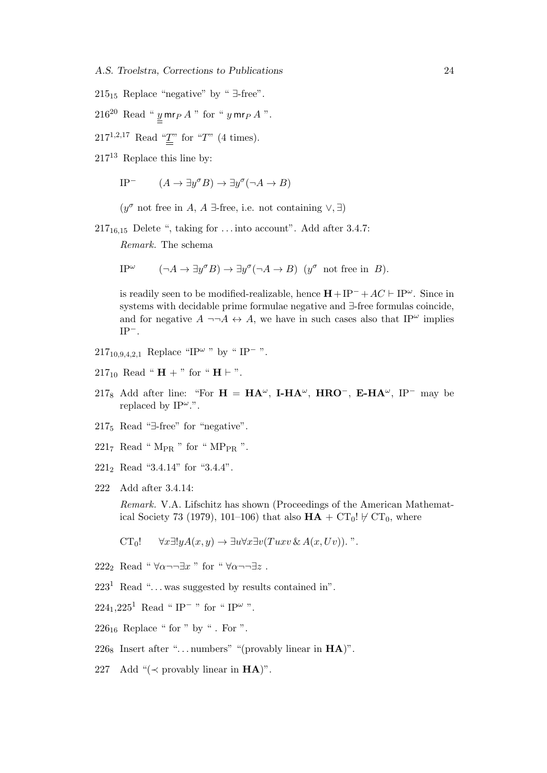- 215<sub>15</sub> Replace "negative" by " $\exists$ -free".
- 216<sup>20</sup> Read "  $y$  mr<sub>P</sub> A " for "  $y$  mr<sub>P</sub> A ".
- $217^{1,2,17}$  Read " $\underline{T}$ " for " $T$ " (4 times).
- $217^{13}$  Replace this line by:

IP<sup>-</sup> 
$$
(A \to \exists y^{\sigma} B) \to \exists y^{\sigma} (\neg A \to B)
$$

 $(y^{\sigma} \text{ not free in } A, A \exists$ -free, i.e. not containing  $\vee$ ,  $\exists$ )

 $217_{16,15}$  Delete ", taking for ... into account". Add after 3.4.7: Remark. The schema

IP<sup>$$
\omega
$$</sup>  $(\neg A \to \exists y^{\sigma} B) \to \exists y^{\sigma} (\neg A \to B) (y^{\sigma} \text{ not free in } B).$ 

is readily seen to be modified-realizable, hence  $H + IP^{-} + AC + IP^{\omega}$ . Since in systems with decidable prime formulae negative and ∃-free formulas coincide, and for negative  $A \neg\neg A \leftrightarrow A$ , we have in such cases also that IP<sup> $\omega$ </sup> implies IP−.

- 217<sub>10,9,4,2,1</sub> Replace "IP<sup> $\omega$ </sup>" by " IP<sup>-</sup>".
- 217<sub>10</sub> Read "  $H +$  " for "  $H \vdash$  ".
- 217<sub>8</sub> Add after line: "For  $H = HA^{\omega}$ , I-HA<sup> $\omega$ </sup>, HRO<sup>-</sup>, E-HA<sup> $\omega$ </sup>, IP<sup>-</sup> may be replaced by  $IP^{\omega}$ .".
- 217<sup>5</sup> Read "∃-free" for "negative".
- $221<sub>7</sub>$  Read "  $M_{PR}$  " for "  $M_{PR}$  ".
- 221<sup>2</sup> Read "3.4.14" for "3.4.4".
- 222 Add after 3.4.14:

Remark. V.A. Lifschitz has shown (Proceedings of the American Mathematical Society 73 (1979), 101–106) that also  $HA + CT_0! \nvdash CT_0$ , where

 $CT_0! \quad \forall x \exists! y A(x, y) \rightarrow \exists u \forall x \exists v (Tuxv \& A(x, Uv)).$ ".

- 222<sub>2</sub> Read "  $\forall \alpha \neg \neg \exists x$  " for "  $\forall \alpha \neg \neg \exists z$ .
- $223<sup>1</sup>$  Read "... was suggested by results contained in".
- 224<sub>1</sub>,225<sup>1</sup> Read " IP<sup>-</sup> " for " IP<sup>ω</sup> ".
- $226_{16}$  Replace " for " by ". For ".
- $226_8$  Insert after "... numbers" "(provably linear in  $HA$ )".
- 227 Add "( $\prec$  provably linear in  $HA$ )".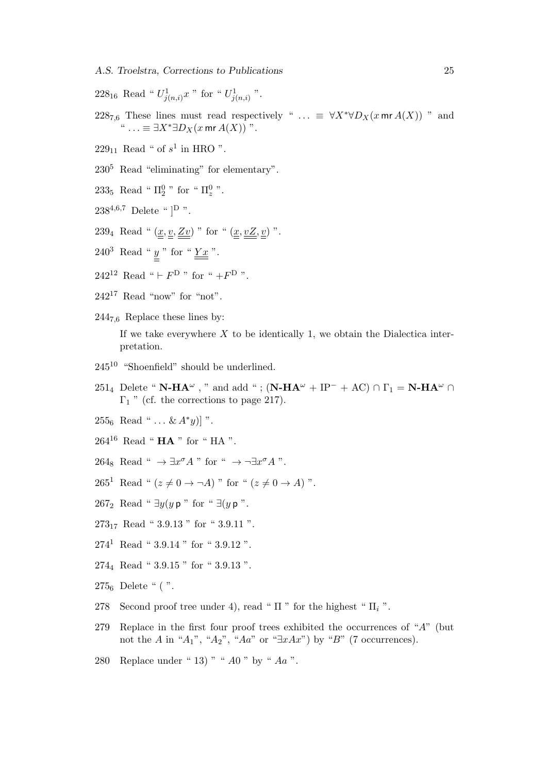- 228<sub>16</sub> Read "  $U^1_{j(n,i)}x$  " for "  $U^1_{j(n,i)}$  ".
- 228<sub>7.6</sub> These lines must read respectively " ...  $\equiv \forall X^* \forall D_X(x \text{ mr } A(X))$ " and "  $\ldots \equiv \exists X^* \exists D_X(x \text{ mr } A(X))$ ".
- $229_{11}$  Read " of  $s^1$  in HRO ".
- $230^5$  Read "eliminating" for elementary".
- 233<sub>5</sub> Read "  $\Pi_2^0$  " for "  $\Pi_z^0$  ".
- 238<sup>4,6,7</sup> Delete "  $]^{D}$  ".
- 239<sub>4</sub> Read "  $(\underline{x}, \underline{v}, \underline{Zv})$ " for "  $(\underline{x}, \underline{vZ}, \underline{v})$ ".
- 240<sup>3</sup> Read "  $\underline{y}$  " for "  $\underline{Yx}$  ".
- $242^{12}$  Read "  $\vdash F^{\mathcal{D}}$  " for "  $\div F^{\mathcal{D}}$  ".
- $242^{17}$  Read "now" for "not".
- $244_{7.6}$  Replace these lines by: If we take everywhere  $X$  to be identically 1, we obtain the Dialectica interpretation.
- $245^{10}$  "Shoenfield" should be underlined.
- 251<sub>4</sub> Delete " **N-HA**<sup>ω</sup>, " and add "; (**N-HA**<sup>ω</sup> + IP<sup>-</sup> + AC)  $\cap$   $\Gamma_1 =$  **N-HA**<sup>ω</sup>  $\cap$  $\Gamma_1$  " (cf. the corrections to page 217).
- 255<sub>6</sub> Read " ... &  $A^*y$ ] ".
- $264^{16}$  Read "  $HA$  " for "  $HA$  ".
- 264<sub>8</sub> Read "  $\rightarrow \exists x^{\sigma} A$  " for "  $\rightarrow \neg \exists x^{\sigma} A$  ".
- 265<sup>1</sup> Read "  $(z \neq 0 \rightarrow \neg A)$  " for "  $(z \neq 0 \rightarrow A)$  ".
- 267<sub>2</sub> Read "  $\exists y (y \, \mathsf{p} \,$  " for "  $\exists (y \, \mathsf{p} \,$  ".
- $273_{17}$  Read " 3.9.13 " for " 3.9.11 ".
- $274^1$  Read "  $3.9.14$  " for "  $3.9.12$  ".
- 274<sup>4</sup> Read " 3.9.15 " for " 3.9.13 ".
- 275<sup>6</sup> Delete " ( ".
- 278 Second proof tree under 4), read "  $\Pi$  " for the highest "  $\Pi_i$  ".
- 279 Replace in the first four proof trees exhibited the occurrences of "A" (but not the A in " $A_1$ ", " $A_2$ ", " $A_a$ " or " $\exists x A x$ ") by "B" (7 occurrences).
- 280 Replace under " 13) " "  $A0$  " by "  $Aa$  ".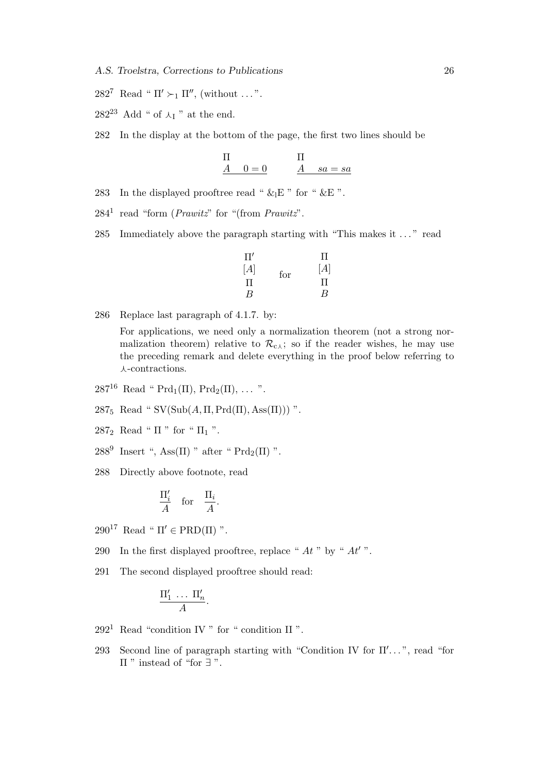- 282<sup>7</sup> Read "  $\Pi' \succ_1 \Pi''$ , (without ...".
- $282^{23}$  Add " of  $\lambda_I$  " at the end.
- 282 In the display at the bottom of the page, the first two lines should be

$$
\Pi \qquad \Pi \qquad \Pi
$$
\n
$$
\underline{A} \quad 0 = 0 \qquad \underline{A} \quad sa = sa
$$

- 283 In the displayed proof tree read "  $\⊂>1E$ " for "  $⊂>E$ ".
- $284<sup>1</sup>$  read "form (*Prawitz*" for "(from *Prawitz*".
- 285 Immediately above the paragraph starting with "This makes it . . . " read

$$
\begin{array}{ccc}\n\Pi' & & \Pi \\
[A] & & \text{for} & [A] \\
\Pi & & \Pi & \Pi \\
B & & B & \end{array}
$$

286 Replace last paragraph of 4.1.7. by:

For applications, we need only a normalization theorem (not a strong normalization theorem) relative to  $\mathcal{R}_{c\lambda}$ ; so if the reader wishes, he may use the preceding remark and delete everything in the proof below referring to  $\lambda$ -contractions.

- $287^{16}$  Read "  $Prd_1(\Pi)$ ,  $Prd_2(\Pi)$ , ... ".
- 287<sub>5</sub> Read "  $SV(Sub(A, \Pi, Prd(\Pi), Ass(\Pi)))$ ".
- 287<sub>2</sub> Read "  $\Pi$  " for "  $\Pi_1$  ".
- 288<sup>9</sup> Insert ", Ass $(\Pi)$ " after "  $Prd_2(\Pi)$ ".
- 288 Directly above footnote, read

$$
\frac{\Pi_i'}{A} \quad \text{for} \quad \frac{\Pi_i}{A}.
$$

- 290<sup>17</sup> Read "  $\Pi' \in \text{PRD}(\Pi)$ ".
- 290 In the first displayed prooftree, replace "  $At$ " by "  $At'$ ".
- 291 The second displayed prooftree should read:

$$
\frac{\Pi'_1 \ \ldots \ \Pi'_n}{A}.
$$

- $292<sup>1</sup>$  Read "condition IV" for " condition II".
- 293 Second line of paragraph starting with "Condition IV for  $\Pi' \dots$ ", read "for  $\Pi$  " instead of "for  $\exists$  ".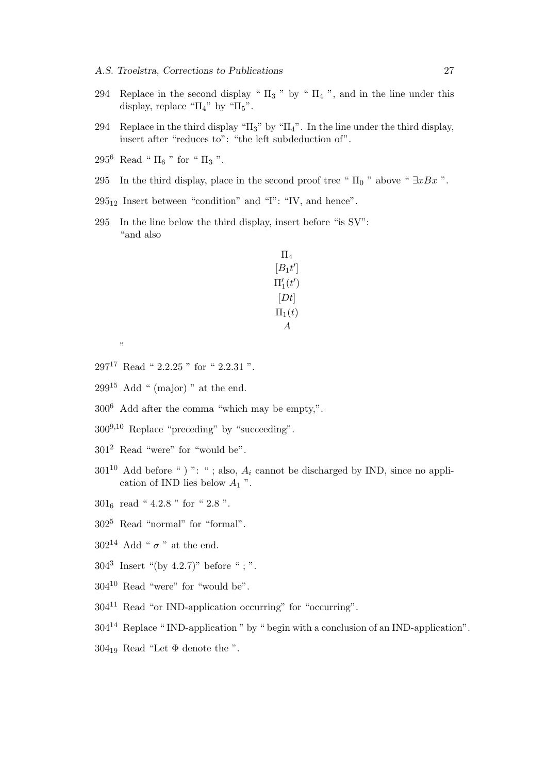- 294 Replace in the second display "  $\Pi_3$ " by "  $\Pi_4$ ", and in the line under this display, replace " $\Pi_4$ " by " $\Pi_5$ ".
- 294 Replace in the third display " $\Pi_3$ " by " $\Pi_4$ ". In the line under the third display, insert after "reduces to": "the left subdeduction of".
- 295<sup>6</sup> Read "  $\Pi_6$  " for "  $\Pi_3$ ".
- 295 In the third display, place in the second proof tree "  $\Pi_0$ " above "  $\exists x \, Bx$ ".
- $295_{12}$  Insert between "condition" and "I": "IV, and hence".
- 295 In the line below the third display, insert before "is SV": "and also

| $\Pi_4$                                                                                                                                                                                                                                                             |
|---------------------------------------------------------------------------------------------------------------------------------------------------------------------------------------------------------------------------------------------------------------------|
| $[B_1t']$                                                                                                                                                                                                                                                           |
| $\Pi_1'(t')$                                                                                                                                                                                                                                                        |
| $[Dt]% \centering \subfloat[\centering]{{\includegraphics[scale=0.2]{img10.png} }}% \qquad \subfloat[\centering]{{\includegraphics[scale=0.2]{img11.png} }}% \caption{The 3D (top) of the estimators in our classification example (panel left).}% \label{fig:3D}%$ |
| $\Pi_1(t)$                                                                                                                                                                                                                                                          |
|                                                                                                                                                                                                                                                                     |

"

- $297^{17}$  Read "  $2.2.25$  " for "  $2.2.31$ ".
- $299^{15}$  Add " (major) " at the end.
- $300^6$  Add after the comma "which may be empty,".
- $300^{9,10}$  Replace "preceding" by "succeeding".
- 301<sup>2</sup> Read "were" for "would be".
- $301^{10}$  Add before " )": "; also,  $A_i$  cannot be discharged by IND, since no application of IND lies below  $A_1$ ".
- $301<sub>6</sub>$  read "  $4.2.8$  " for "  $2.8$  ".
- 302<sup>5</sup> Read "normal" for "formal".
- $302^{14}$  Add "  $\sigma$ " at the end.
- 304<sup>3</sup> Insert "(by 4.2.7)" before " ; ".
- $304^{10}$  Read "were" for "would be".
- $304<sup>11</sup>$  Read "or IND-application occurring" for "occurring".
- $304^{14}$  Replace " IND-application" by " begin with a conclusion of an IND-application".
- $304_{19}$  Read "Let  $\Phi$  denote the ".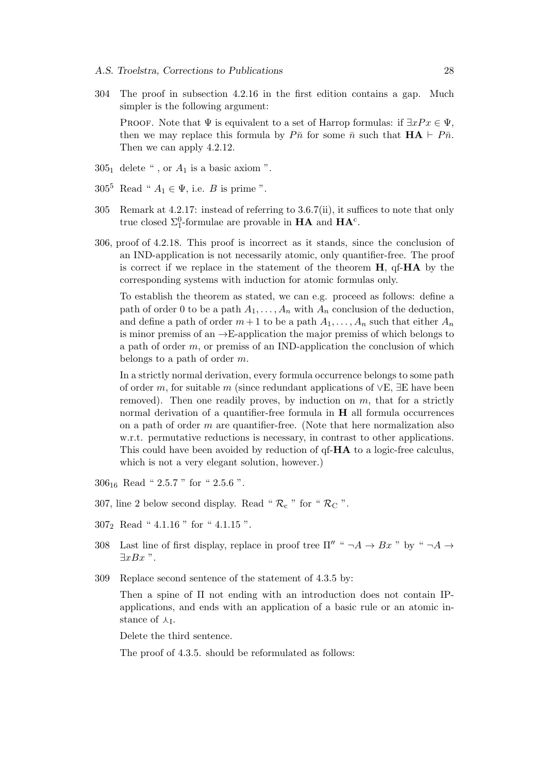304 The proof in subsection 4.2.16 in the first edition contains a gap. Much simpler is the following argument:

**PROOF.** Note that  $\Psi$  is equivalent to a set of Harrop formulas: if  $\exists x P x \in \Psi$ , then we may replace this formula by  $P\bar{n}$  for some  $\bar{n}$  such that  $HA \vdash P\bar{n}$ . Then we can apply 4.2.12.

- $305<sub>1</sub>$  delete ", or  $A<sub>1</sub>$  is a basic axiom ".
- 305<sup>5</sup> Read "  $A_1 \in \Psi$ , i.e. B is prime ".
- 305 Remark at 4.2.17: instead of referring to 3.6.7(ii), it suffices to note that only true closed  $\Sigma_1^0$ -formulae are provable in **HA** and **HA**<sup>c</sup>.
- 306, proof of 4.2.18. This proof is incorrect as it stands, since the conclusion of an IND-application is not necessarily atomic, only quantifier-free. The proof is correct if we replace in the statement of the theorem  $H$ , qf- $HA$  by the corresponding systems with induction for atomic formulas only.

To establish the theorem as stated, we can e.g. proceed as follows: define a path of order 0 to be a path  $A_1, \ldots, A_n$  with  $A_n$  conclusion of the deduction, and define a path of order  $m+1$  to be a path  $A_1, \ldots, A_n$  such that either  $A_n$ is minor premiss of an  $\rightarrow$ E-application the major premiss of which belongs to a path of order  $m$ , or premiss of an IND-application the conclusion of which belongs to a path of order  $m$ .

In a strictly normal derivation, every formula occurrence belongs to some path of order m, for suitable m (since redundant applications of  $\vee$ E, ∃E have been removed). Then one readily proves, by induction on  $m$ , that for a strictly normal derivation of a quantifier-free formula in  $H$  all formula occurrences on a path of order  $m$  are quantifier-free. (Note that here normalization also w.r.t. permutative reductions is necessary, in contrast to other applications. This could have been avoided by reduction of qf-**HA** to a logic-free calculus, which is not a very elegant solution, however.)

 $306_{16}$  Read "  $2.5.7$  " for "  $2.5.6$  ".

- 307, line 2 below second display. Read " $\mathcal{R}_c$ " for " $\mathcal{R}_C$ ".
- 307<sup>2</sup> Read " 4.1.16 " for " 4.1.15 ".
- 308 Last line of first display, replace in proof tree  $\Pi''$  "  $\neg A \rightarrow Bx$ " by "  $\neg A \rightarrow$  $\exists x Bx$  ".
- 309 Replace second sentence of the statement of 4.3.5 by:

Then a spine of Π not ending with an introduction does not contain IPapplications, and ends with an application of a basic rule or an atomic instance of  $\lambda_I$ .

Delete the third sentence.

The proof of 4.3.5. should be reformulated as follows: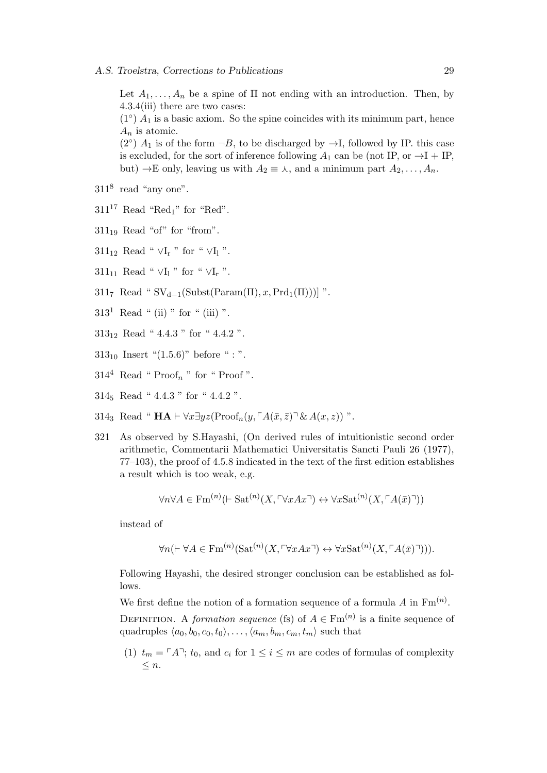Let  $A_1, \ldots, A_n$  be a spine of  $\Pi$  not ending with an introduction. Then, by 4.3.4(iii) there are two cases:

 $(1°)$   $A<sub>1</sub>$  is a basic axiom. So the spine coincides with its minimum part, hence  $A_n$  is atomic.

(2<sup>o</sup>)  $A_1$  is of the form  $\neg B$ , to be discharged by  $\neg I$ , followed by IP. this case is excluded, for the sort of inference following  $A_1$  can be (not IP, or  $\rightarrow$ I + IP, but)  $\rightarrow$ E only, leaving us with  $A_2 \equiv \lambda$ , and a minimum part  $A_2, \ldots, A_n$ .

 $311<sup>8</sup>$  read "any one".

- $311^{17}$  Read "Red<sub>1</sub>" for "Red".
- $311_{19}$  Read "of" for "from".
- $311_{12}$  Read "  $\vee I_r$  " for "  $\vee I_1$  ".
- 311<sub>11</sub> Read "  $\vee I_1$  " for "  $\vee I_r$  ".
- 311<sub>7</sub> Read "  $SV_{d-1}(Subst(Param(\Pi), x, Prd_1(\Pi)))$ ".
- $313<sup>1</sup>$  Read " (ii) " for " (iii) ".
- $313_{12}$  Read "  $4.4.3$  " for "  $4.4.2$  ".
- $313_{10}$  Insert " $(1.5.6)$ " before ": ".
- $314^4$  Read " Proof<sub>n</sub>" for " Proof".
- 314<sup>5</sup> Read " 4.4.3 " for " 4.4.2 ".
- 314<sub>3</sub> Read "  $HA \vdash \forall x \exists yz (Proof_n(y, \ulcorner A(\bar{x}, \bar{z}) \urcorner \& A(x, z))$ ".
- 321 As observed by S.Hayashi, (On derived rules of intuitionistic second order arithmetic, Commentarii Mathematici Universitatis Sancti Pauli 26 (1977), 77–103), the proof of 4.5.8 indicated in the text of the first edition establishes a result which is too weak, e.g.

$$
\forall n \forall A \in \text{Fm}^{(n)}(\vdash \text{Sat}^{(n)}(X, \ulcorner \forall x A x \urcorner) \leftrightarrow \forall x \text{Sat}^{(n)}(X, \ulcorner A(\bar{x}) \urcorner))
$$

instead of

$$
\forall n (\vdash \forall A \in \mathrm{Fm}^{(n)}(\mathrm{Sat}^{(n)}(X, \ulcorner \forall x A x \urcorner) \leftrightarrow \forall x \mathrm{Sat}^{(n)}(X, \ulcorner A(\bar{x}) \urcorner))).
$$

Following Hayashi, the desired stronger conclusion can be established as follows.

We first define the notion of a formation sequence of a formula  $A$  in  $\text{Fm}^{(n)}$ .

DEFINITION. A formation sequence (fs) of  $A \in \text{Fm}^{(n)}$  is a finite sequence of quadruples  $\langle a_0, b_0, c_0, t_0 \rangle, \ldots, \langle a_m, b_m, c_m, t_m \rangle$  such that

(1)  $t_m = \lceil A \rceil$ ;  $t_0$ , and  $c_i$  for  $1 \le i \le m$  are codes of formulas of complexity  $\leq n$ .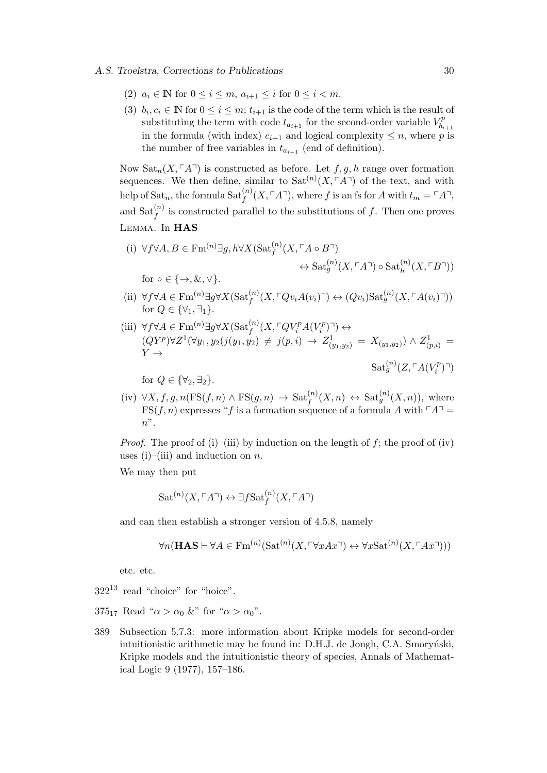- (2)  $a_i \in \mathbb{N}$  for  $0 \leq i \leq m$ ,  $a_{i+1} \leq i$  for  $0 \leq i \leq m$ .
- (3)  $b_i, c_i \in \mathbb{N}$  for  $0 \le i \le m$ ;  $t_{i+1}$  is the code of the term which is the result of substituting the term with code  $t_{a_{i+1}}$  for the second-order variable  $V_{b_i}^p$  $b_{i+1}$ in the formula (with index)  $c_{i+1}$  and logical complexity  $\leq n$ , where p is the number of free variables in  $t_{a_{i+1}}$  (end of definition).

Now  $\text{Sat}_n(X, \ulcorner A\urcorner)$  is constructed as before. Let  $f, g, h$  range over formation sequences. We then define, similar to  $\text{Sat}^{(n)}(X,\ulcorner A\urcorner)$  of the text, and with help of Sat<sub>n</sub>, the formula  $\text{Sat}^{(n)}_f(X, \ulcorner A \urcorner)$ , where f is an fs for A with  $t_m = \ulcorner A \urcorner$ , and  $\text{Sat}_{f}^{(n)}$  is constructed parallel to the substitutions of f. Then one proves Lemma. In HAS

(i) 
$$
\forall f \forall A, B \in \text{Fm}^{(n)} \exists g, h \forall X (\text{Sat}^{(n)}_f(X, \ulcorner A \circ B \urcorner) \leftrightarrow \text{Sat}^{(n)}_g(X, \ulcorner A \urcorner) \circ \text{Sat}^{(n)}_h(X, \ulcorner B \urcorner))
$$
  
for  $\circ \in \{\rightarrow, \&, \vee\}.$ 

- (ii)  $\forall f \forall A \in \text{Fm}^{(n)} \exists g \forall X (\text{Sat}^{(n)}_f(X, \ulcorner Qv_i A(v_i) \urcorner) \leftrightarrow (Qv_i) \text{Sat}^{(n)}_g(X, \ulcorner A(\bar{v}_i) \urcorner))$ for  $Q \in {\forall_1, \exists_1}.$
- (iii) ∀f∀A ∈ Fm<sup>(n)</sup>∃g∀X(Sat<sup>(n)</sup>(X,<sup>г</sup>QV<sup>p</sup>A(V<sup>p</sup>  $\binom{p}{i}$ )  $\leftrightarrow$  $(QY^p) \forall Z^1(\forall y_1, y_2(j(y_1, y_2) \neq j(p, i) \rightarrow Z^1_{(y_1, y_2)} = X_{(y_1, y_2)}) \wedge Z^1_{(p, i)} =$  $Y \rightarrow$  $\operatorname{Sat}^{(n)}_g(Z,\ulcorner A(V^p_i$  $\binom{p}{i}$ )

for 
$$
Q \in {\lbrace \forall_2, \exists_2 \rbrace}
$$
.

(iv)  $\forall X, f, g, n(FS(f,n) \land FS(g,n) \rightarrow Sat_f^{(n)}(X,n) \leftrightarrow Sat_g^{(n)}(X,n)$ , where FS(f, n) expresses "f is a formation sequence of a formula A with  $\ulcorner A \urcorner =$  $n$ ".

*Proof.* The proof of (i)–(iii) by induction on the length of f; the proof of (iv) uses (i)–(iii) and induction on  $n$ .

We may then put

$$
\mathrm{Sat}^{(n)}(X,\ulcorner A\urcorner)\leftrightarrow \exists f\mathrm{Sat}^{(n)}_f(X,\ulcorner A\urcorner)
$$

and can then establish a stronger version of 4.5.8, namely

$$
\forall n(\mathbf{HAS} \vdash \forall A \in \mathrm{Fm}^{(n)}(\mathrm{Sat}^{(n)}(X, \ulcorner \forall x A x \urcorner) \leftrightarrow \forall x \mathrm{Sat}^{(n)}(X, \ulcorner A \bar{x} \urcorner)))
$$

etc. etc.

- $322^{13}$  read "choice" for "hoice".
- 375<sub>17</sub> Read " $\alpha > \alpha_0 \&$ " for " $\alpha > \alpha_0$ ".
- 389 Subsection 5.7.3: more information about Kripke models for second-order intuitionistic arithmetic may be found in: D.H.J. de Jongh, C.A. Smorynski, Kripke models and the intuitionistic theory of species, Annals of Mathematical Logic 9 (1977), 157–186.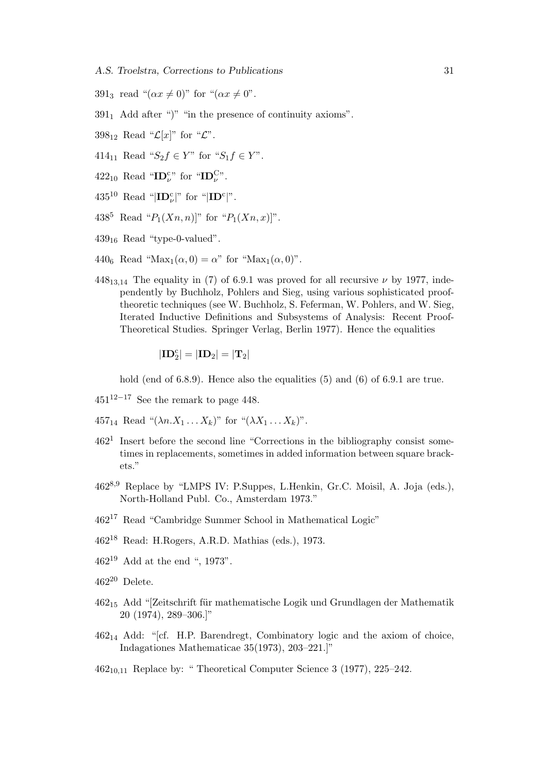- 391<sub>3</sub> read " $(\alpha x \neq 0)$ " for " $(\alpha x \neq 0$ ".
- $391<sub>1</sub>$  Add after ")" "in the presence of continuity axioms".
- 398<sub>12</sub> Read " $\mathcal{L}[x]$ " for " $\mathcal{L}$ ".
- 414<sub>11</sub> Read " $S_2 f \in Y$ " for " $S_1 f \in Y$ ".
- 422<sub>10</sub> Read " $\mathbf{ID}_{\nu}^{\mathbf{C}}$ " for " $\mathbf{ID}_{\nu}^{\mathbf{C}}$ ".
- 435<sup>10</sup> Read " $|\mathbf{ID}_{\nu}^{\mathsf{c}}|$ " for " $|\mathbf{ID}^{\mathsf{c}}|$ ".
- 438<sup>5</sup> Read " $P_1(Xn, n)$ " for " $P_1(Xn, x)$ ".
- $439_{16}$  Read "type-0-valued".
- 440<sub>6</sub> Read "Max<sub>1</sub>( $\alpha$ , 0) =  $\alpha$ " for "Max<sub>1</sub>( $\alpha$ , 0)".
- $448_{13,14}$  The equality in (7) of 6.9.1 was proved for all recursive  $\nu$  by 1977, independently by Buchholz, Pohlers and Sieg, using various sophisticated prooftheoretic techniques (see W. Buchholz, S. Feferman, W. Pohlers, and W. Sieg, Iterated Inductive Definitions and Subsystems of Analysis: Recent Proof-Theoretical Studies. Springer Verlag, Berlin 1977). Hence the equalities

$$
|\mathbf{ID}_2^c|=|\mathbf{ID}_2|=|\mathbf{T}_2|
$$

hold (end of 6.8.9). Hence also the equalities (5) and (6) of 6.9.1 are true.

- $451^{12-17}$  See the remark to page 448.
- 457<sub>14</sub> Read " $(\lambda n.X_1 \ldots X_k)$ " for " $(\lambda X_1 \ldots X_k)$ ".
- 462<sup>1</sup> Insert before the second line "Corrections in the bibliography consist sometimes in replacements, sometimes in added information between square brackets."
- $462^{8,9}$  Replace by "LMPS IV: P.Suppes, L.Henkin, Gr.C. Moisil, A. Joja (eds.), North-Holland Publ. Co., Amsterdam 1973."
- 462<sup>17</sup> Read "Cambridge Summer School in Mathematical Logic"
- $462^{18}$  Read: H.Rogers, A.R.D. Mathias (eds.), 1973.
- $462^{19}$  Add at the end ", 1973".
- $462^{20}$  Delete.
- $462_{15}$  Add "[Zeitschrift für mathematische Logik und Grundlagen der Mathematik 20 (1974), 289–306.]"
- 462<sup>14</sup> Add: "[cf. H.P. Barendregt, Combinatory logic and the axiom of choice, Indagationes Mathematicae 35(1973), 203–221.]"
- $462_{10,11}$  Replace by: "Theoretical Computer Science 3 (1977), 225–242.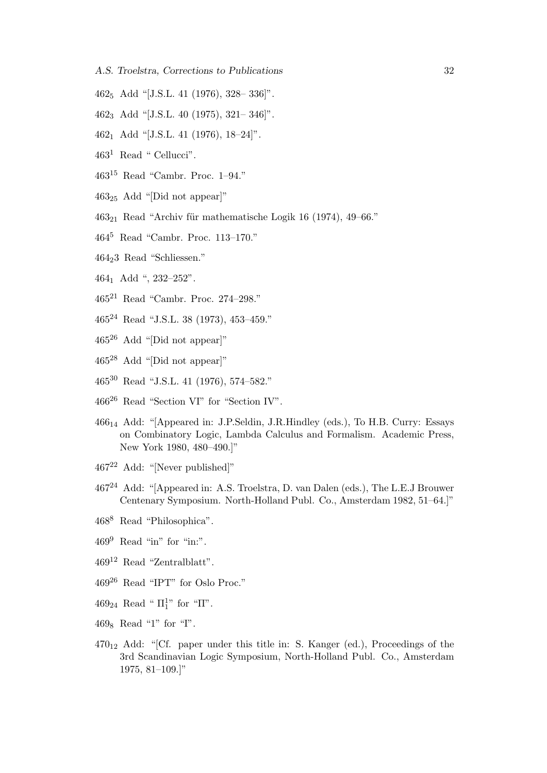- A.S. Troelstra, Corrections to Publications 32
- <sup>5</sup> Add "[J.S.L. 41 (1976), 328– 336]".
- 462<sub>3</sub> Add "[J.S.L. 40 (1975), 321–346]".
- <sup>1</sup> Add "[J.S.L. 41 (1976), 18–24]".
- $463<sup>1</sup>$  Read " Cellucci".
- <sup>15</sup> Read "Cambr. Proc. 1–94."
- <sup>25</sup> Add "[Did not appear]"
- $463<sub>21</sub>$  Read "Archiv für mathematische Logik 16 (1974), 49–66."
- <sup>5</sup> Read "Cambr. Proc. 113–170."
- 23 Read "Schliessen."
- <sup>1</sup> Add ", 232–252".
- <sup>21</sup> Read "Cambr. Proc. 274–298."
- <sup>24</sup> Read "J.S.L. 38 (1973), 453–459."
- <sup>26</sup> Add "[Did not appear]"
- <sup>28</sup> Add "[Did not appear]"
- <sup>30</sup> Read "J.S.L. 41 (1976), 574–582."
- <sup>26</sup> Read "Section VI" for "Section IV".
- <sup>14</sup> Add: "[Appeared in: J.P.Seldin, J.R.Hindley (eds.), To H.B. Curry: Essays on Combinatory Logic, Lambda Calculus and Formalism. Academic Press, New York 1980, 480–490.]"
- <sup>22</sup> Add: "[Never published]"
- <sup>24</sup> Add: "[Appeared in: A.S. Troelstra, D. van Dalen (eds.), The L.E.J Brouwer Centenary Symposium. North-Holland Publ. Co., Amsterdam 1982, 51–64.]"
- <sup>8</sup> Read "Philosophica".
- $469^9$  Read "in" for "in:".
- <sup>12</sup> Read "Zentralblatt".
- <sup>26</sup> Read "IPT" for Oslo Proc."
- $469_{24}$  Read "  $\Pi_1^{1}$ " for " $\Pi$ ".
- <sup>8</sup> Read "1" for "I".
- $470_{12}$  Add: "[Cf. paper under this title in: S. Kanger (ed.), Proceedings of the 3rd Scandinavian Logic Symposium, North-Holland Publ. Co., Amsterdam 1975, 81–109.]"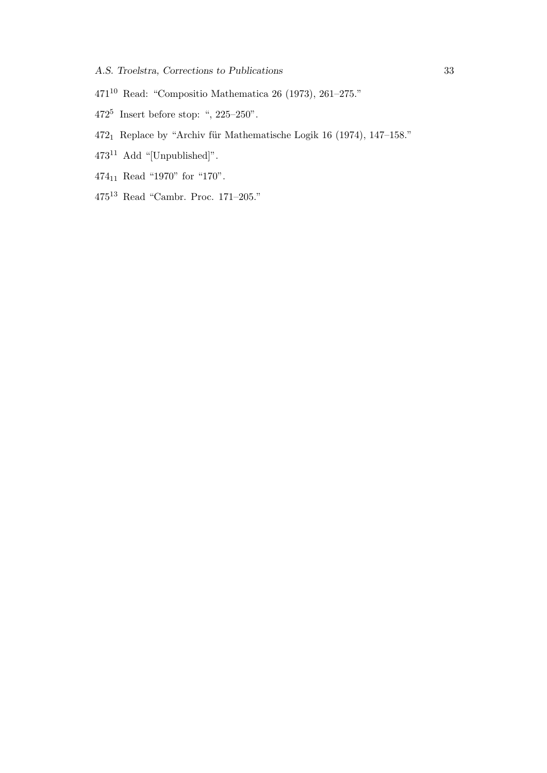- 471<sup>10</sup> Read: "Compositio Mathematica 26 (1973), 261–275."
- $472^5$  Insert before stop: ",  $225-250$ ".
- 472<sub>1</sub> Replace by "Archiv für Mathematische Logik 16 (1974), 147–158."
- $473^{11}$  Add "[Unpublished]".
- 474 $_{11}$  Read "1970" for "170".
- 475<sup>13</sup> Read "Cambr. Proc. 171–205."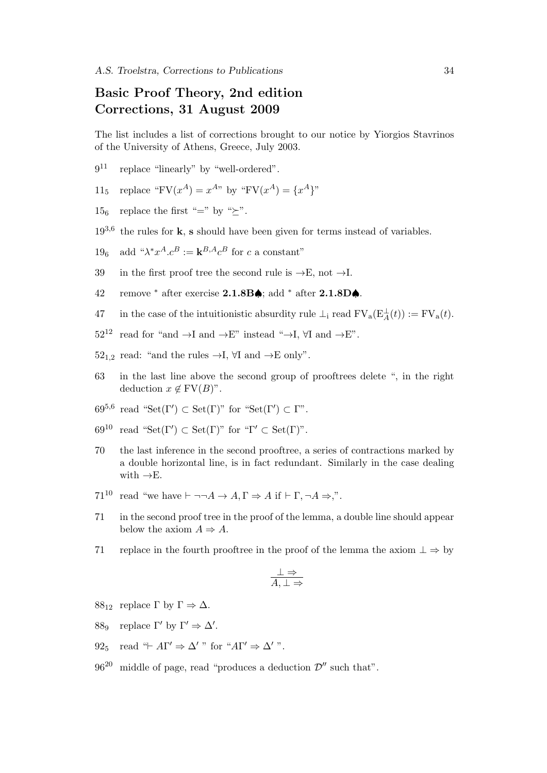# Basic Proof Theory, 2nd edition Corrections, 31 August 2009

The list includes a list of corrections brought to our notice by Yiorgios Stavrinos of the University of Athens, Greece, July 2003.

- 9<sup>11</sup> replace "linearly" by "well-ordered".
- 11<sub>5</sub> replace "FV $(x^A) = x^{A}$ " by "FV $(x^A) = \{x^A\}$ "
- 15<sub>6</sub> replace the first "=" by " $\succeq$ ".
- $19^{3,6}$  the rules for **k**, **s** should have been given for terms instead of variables.
- 19<sub>6</sub> add " $\lambda^* x^A . c^B := \mathbf{k}^{B,A} c^B$  for c a constant"
- 39 in the first proof tree the second rule is  $\rightarrow E$ , not  $\rightarrow I$ .
- 42 remove <sup>∗</sup> after exercise 2.1.8B♠; add <sup>∗</sup> after 2.1.8D♠.
- 47 in the case of the intuitionistic absurdity rule  $\perp_i$  read  $FV_a(E_A^{\perp}(t)) := FV_a(t)$ .
- $52^{12}$  read for "and  $\rightarrow$ I and  $\rightarrow$ E" instead " $\rightarrow$ I,  $\forall$ I and  $\rightarrow$ E".
- 52<sub>1,2</sub> read: "and the rules  $\rightarrow$ I,  $\forall$ I and  $\rightarrow$ E only".
- 63 in the last line above the second group of prooftrees delete ", in the right deduction  $x \notin FV(B)$ ".
- $69^{5,6}$  read " $\text{Set}(\Gamma') \subset \text{Set}(\Gamma)$ " for " $\text{Set}(\Gamma') \subset \Gamma$ ".
- $69^{10}$  read "Set(Γ')  $\subset$  Set(Γ)" for "Γ'  $\subset$  Set(Γ)".
- 70 the last inference in the second prooftree, a series of contractions marked by a double horizontal line, is in fact redundant. Similarly in the case dealing with  $\rightarrow E$ .
- 71<sup>10</sup> read "we have  $\vdash \neg\neg A \rightarrow A, \Gamma \Rightarrow A$  if  $\vdash \Gamma, \neg A \Rightarrow$ ,".
- 71 in the second proof tree in the proof of the lemma, a double line should appear below the axiom  $A \Rightarrow A$ .
- 71 replace in the fourth prooftree in the proof of the lemma the axiom  $\perp \Rightarrow$  by

$$
\frac{\bot \Rightarrow}{A,\bot \Rightarrow}
$$

- 88<sub>12</sub> replace Γ by  $\Gamma \Rightarrow \Delta$ .
- 88<sub>9</sub> replace  $\Gamma'$  by  $\Gamma' \Rightarrow \Delta'$ .
- 92<sub>5</sub> read " $\vdash A\Gamma' \Rightarrow \Delta'$ " for " $A\Gamma' \Rightarrow \Delta'$ ".
- $96^{20}$  middle of page, read "produces a deduction  $\mathcal{D}''$  such that".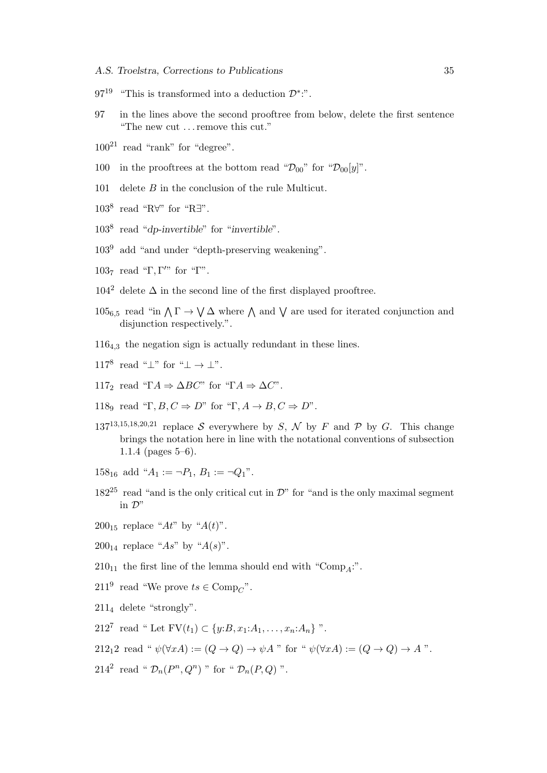- 97<sup>19</sup> "This is transformed into a deduction  $\mathcal{D}^*$ :".
- 97 in the lines above the second prooftree from below, delete the first sentence "The new cut . . . remove this cut."
- $100^{21}$  read "rank" for "degree".
- 100 in the proof trees at the bottom read " $\mathcal{D}_{00}$ " for " $\mathcal{D}_{00}[y]$ ".
- 101 delete B in the conclusion of the rule Multicut.
- $103^8$  read "R∀" for "R∃".
- 103<sup>8</sup> read "dp-invertible" for "invertible".
- 103<sup>9</sup> add "and under "depth-preserving weakening".
- 103<sub>7</sub> read "Γ, Γ'" for "Γ".
- $104^2$  delete  $\Delta$  in the second line of the first displayed prooftree.
- 105<sub>6,5</sub> read "in  $\Lambda \Gamma \to \mathrm{V}\Delta$  where  $\Lambda$  and  $\mathrm{V}$  are used for iterated conjunction and disjunction respectively.".
- 1164,<sup>3</sup> the negation sign is actually redundant in these lines.
- 117<sup>8</sup> read " $\perp$ " for " $\perp \rightarrow \perp$ ".
- 117<sub>2</sub> read "Γ $A \Rightarrow \Delta BC$ " for "Γ $A \Rightarrow \Delta C$ ".
- 118<sub>9</sub> read "Γ,  $B, C \Rightarrow D$ " for "Γ,  $A \rightarrow B, C \Rightarrow D$ ".
- 137<sup>13,15,18,20,21</sup> replace S everywhere by S, N by F and P by G. This change brings the notation here in line with the notational conventions of subsection 1.1.4 (pages 5–6).
- 158<sub>16</sub> add " $A_1 := \neg P_1, B_1 := \neg Q_1$ ".
- $182^{25}$  read "and is the only critical cut in  $\mathcal{D}$ " for "and is the only maximal segment in D"
- 200<sub>15</sub> replace " $At$ " by " $A(t)$ ".
- 200<sub>14</sub> replace "As" by " $A(s)$ ".
- $210_{11}$  the first line of the lemma should end with "Comp<sub>A</sub>:".
- 211<sup>9</sup> read "We prove  $ts \in \text{Comp}_C$ ".
- 211<sup>4</sup> delete "strongly".
- 212<sup>7</sup> read "Let  $\text{FV}(t_1) \subset \{y:B, x_1:A_1, \ldots, x_n:A_n\}$ ".
- 212<sub>1</sub>2 read "  $\psi(\forall x A) := (Q \rightarrow Q) \rightarrow \psi A$ " for "  $\psi(\forall x A) := (Q \rightarrow Q) \rightarrow A$ ".
- 214<sup>2</sup> read " $\mathcal{D}_n(P^n, Q^n)$ " for " $\mathcal{D}_n(P, Q)$ ".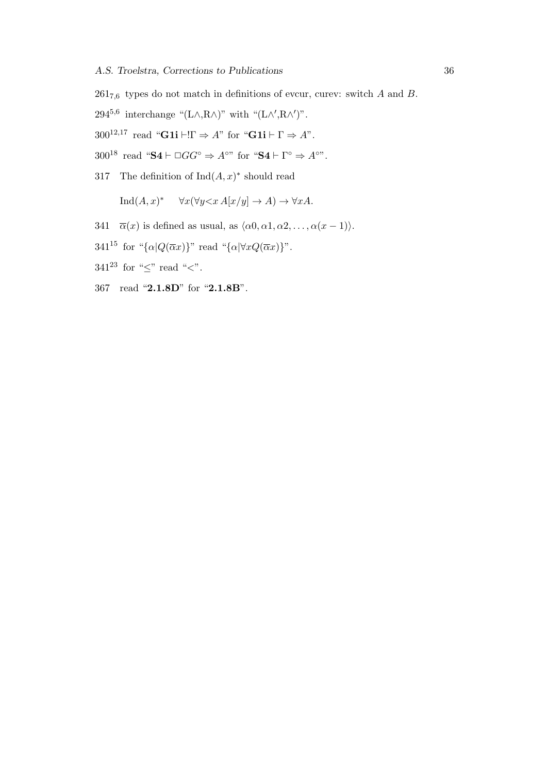$261_{7,6}$  types do not match in definitions of evcur, curev: switch A and B.

- 294<sup>5,6</sup> interchange " $(L\wedge,R\wedge)$ " with " $(L\wedge',R\wedge')$ ".
- $300^{12,17}$  read "G1i  $\vdash !\Gamma \Rightarrow A$ " for "G1i  $\vdash \Gamma \Rightarrow A$ ".
- 300<sup>18</sup> read "S4  $\vdash \Box GG^\circ \Rightarrow A^{\circ}$ " for "S4  $\vdash \Gamma^\circ \Rightarrow A^{\circ}$ ".
- 317 The definition of  $Ind(A, x)^*$  should read

 $\text{Ind}(A, x)^* \quad \forall x (\forall y \leq x \, A[x/y] \to A) \to \forall x A.$ 

- 341  $\overline{\alpha}(x)$  is defined as usual, as  $\langle \alpha 0, \alpha 1, \alpha 2, \ldots, \alpha (x 1) \rangle$ .
- 341<sup>15</sup> for "{ $\alpha |Q(\overline{\alpha}x)\rangle$ " read "{ $\alpha |\forall x Q(\overline{\alpha}x)\rangle$ ".
- 341<sup>23</sup> for " $\leq$ " read " $\lt$ ".
- 367 read "2.1.8D" for "2.1.8B".